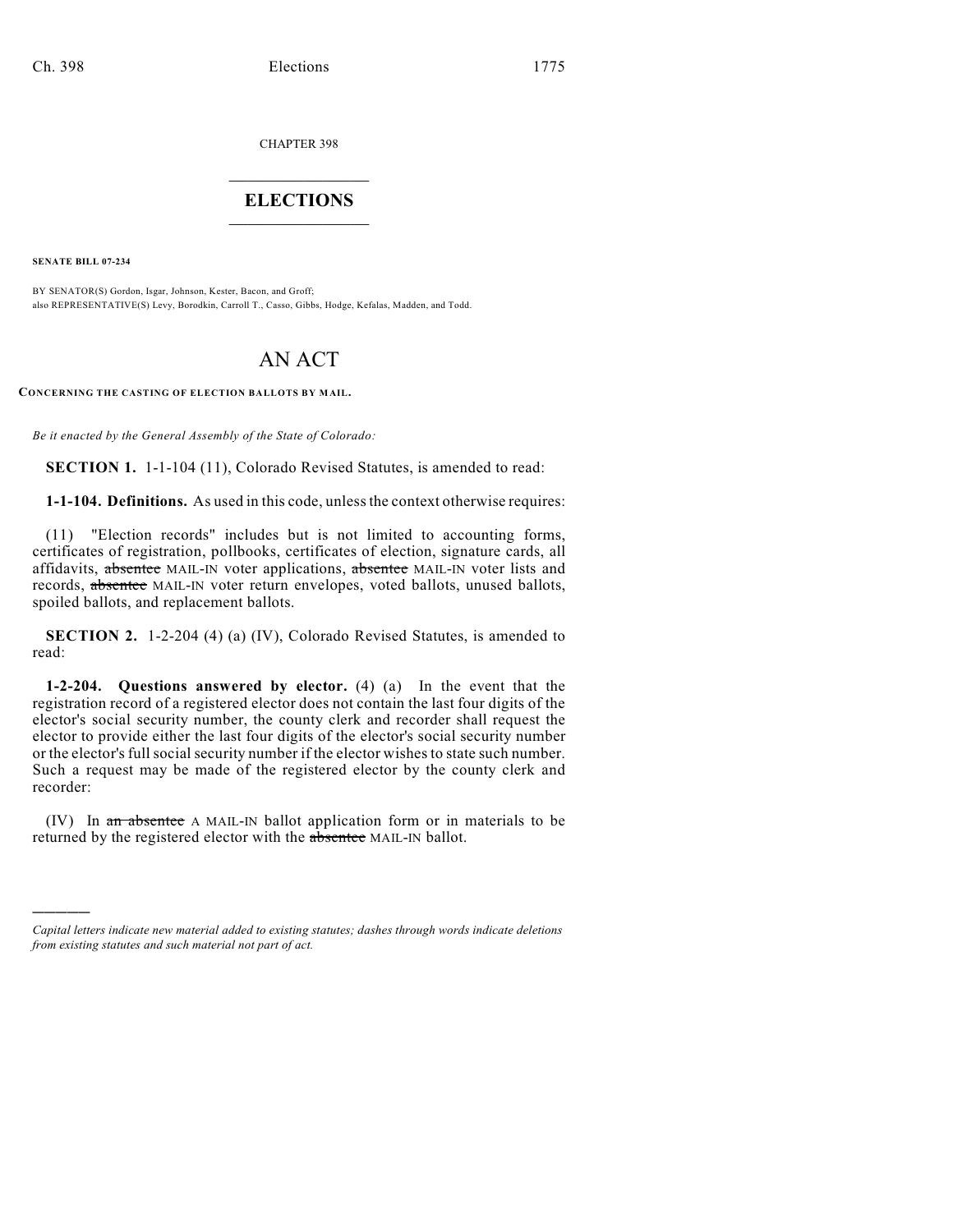CHAPTER 398

# $\mathcal{L}_\text{max}$  . The set of the set of the set of the set of the set of the set of the set of the set of the set of the set of the set of the set of the set of the set of the set of the set of the set of the set of the set **ELECTIONS**  $\_$

**SENATE BILL 07-234**

)))))

BY SENATOR(S) Gordon, Isgar, Johnson, Kester, Bacon, and Groff; also REPRESENTATIVE(S) Levy, Borodkin, Carroll T., Casso, Gibbs, Hodge, Kefalas, Madden, and Todd.

# AN ACT

**CONCERNING THE CASTING OF ELECTION BALLOTS BY MAIL.**

*Be it enacted by the General Assembly of the State of Colorado:*

**SECTION 1.** 1-1-104 (11), Colorado Revised Statutes, is amended to read:

**1-1-104. Definitions.** As used in this code, unless the context otherwise requires:

(11) "Election records" includes but is not limited to accounting forms, certificates of registration, pollbooks, certificates of election, signature cards, all affidavits, absentee MAIL-IN voter applications, absentee MAIL-IN voter lists and records, absentee MAIL-IN voter return envelopes, voted ballots, unused ballots, spoiled ballots, and replacement ballots.

**SECTION 2.** 1-2-204 (4) (a) (IV), Colorado Revised Statutes, is amended to read:

**1-2-204. Questions answered by elector.** (4) (a) In the event that the registration record of a registered elector does not contain the last four digits of the elector's social security number, the county clerk and recorder shall request the elector to provide either the last four digits of the elector's social security number or the elector's full social security number if the elector wishes to state such number. Such a request may be made of the registered elector by the county clerk and recorder:

(IV) In an absentee A MAIL-IN ballot application form or in materials to be returned by the registered elector with the absentee MAIL-IN ballot.

*Capital letters indicate new material added to existing statutes; dashes through words indicate deletions from existing statutes and such material not part of act.*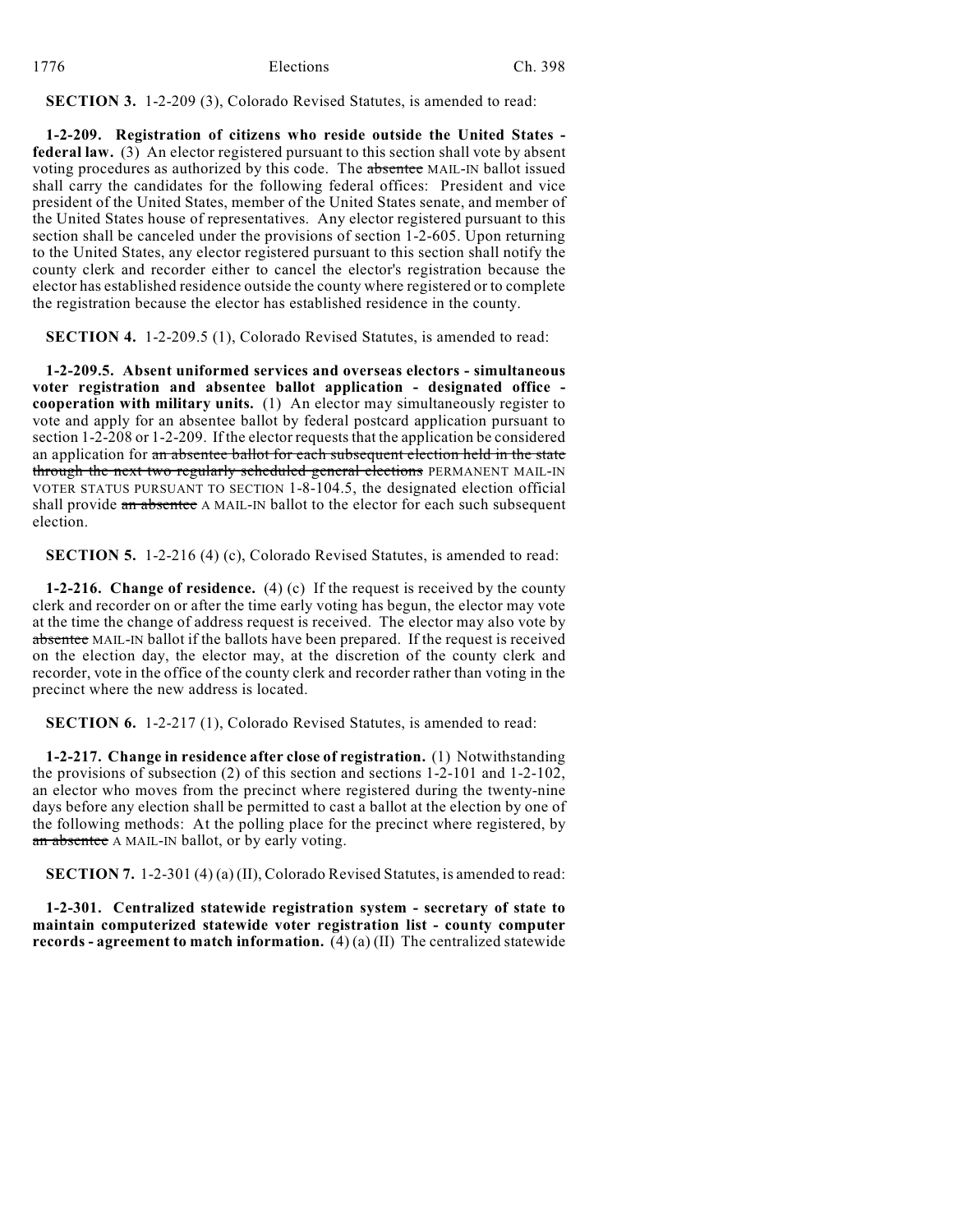| 1776 | Elections | Ch. 398 |
|------|-----------|---------|
|      |           |         |

**SECTION 3.** 1-2-209 (3), Colorado Revised Statutes, is amended to read:

**1-2-209. Registration of citizens who reside outside the United States federal law.** (3) An elector registered pursuant to this section shall vote by absent voting procedures as authorized by this code. The absentee MAIL-IN ballot issued shall carry the candidates for the following federal offices: President and vice president of the United States, member of the United States senate, and member of the United States house of representatives. Any elector registered pursuant to this section shall be canceled under the provisions of section 1-2-605. Upon returning to the United States, any elector registered pursuant to this section shall notify the county clerk and recorder either to cancel the elector's registration because the elector has established residence outside the county where registered or to complete the registration because the elector has established residence in the county.

**SECTION 4.** 1-2-209.5 (1), Colorado Revised Statutes, is amended to read:

**1-2-209.5. Absent uniformed services and overseas electors - simultaneous voter registration and absentee ballot application - designated office cooperation with military units.** (1) An elector may simultaneously register to vote and apply for an absentee ballot by federal postcard application pursuant to section 1-2-208 or 1-2-209. If the elector requests that the application be considered an application for an absentee ballot for each subsequent election held in the state through the next two regularly scheduled general elections PERMANENT MAIL-IN VOTER STATUS PURSUANT TO SECTION 1-8-104.5, the designated election official shall provide an absentee A MAIL-IN ballot to the elector for each such subsequent election.

**SECTION 5.** 1-2-216 (4) (c), Colorado Revised Statutes, is amended to read:

**1-2-216. Change of residence.** (4) (c) If the request is received by the county clerk and recorder on or after the time early voting has begun, the elector may vote at the time the change of address request is received. The elector may also vote by absentee MAIL-IN ballot if the ballots have been prepared. If the request is received on the election day, the elector may, at the discretion of the county clerk and recorder, vote in the office of the county clerk and recorder rather than voting in the precinct where the new address is located.

**SECTION 6.** 1-2-217 (1), Colorado Revised Statutes, is amended to read:

**1-2-217. Change in residence after close of registration.** (1) Notwithstanding the provisions of subsection (2) of this section and sections 1-2-101 and 1-2-102, an elector who moves from the precinct where registered during the twenty-nine days before any election shall be permitted to cast a ballot at the election by one of the following methods: At the polling place for the precinct where registered, by an absentee A MAIL-IN ballot, or by early voting.

**SECTION 7.** 1-2-301 (4) (a) (II), Colorado Revised Statutes, is amended to read:

**1-2-301. Centralized statewide registration system - secretary of state to maintain computerized statewide voter registration list - county computer records - agreement to match information.** (4) (a) (II) The centralized statewide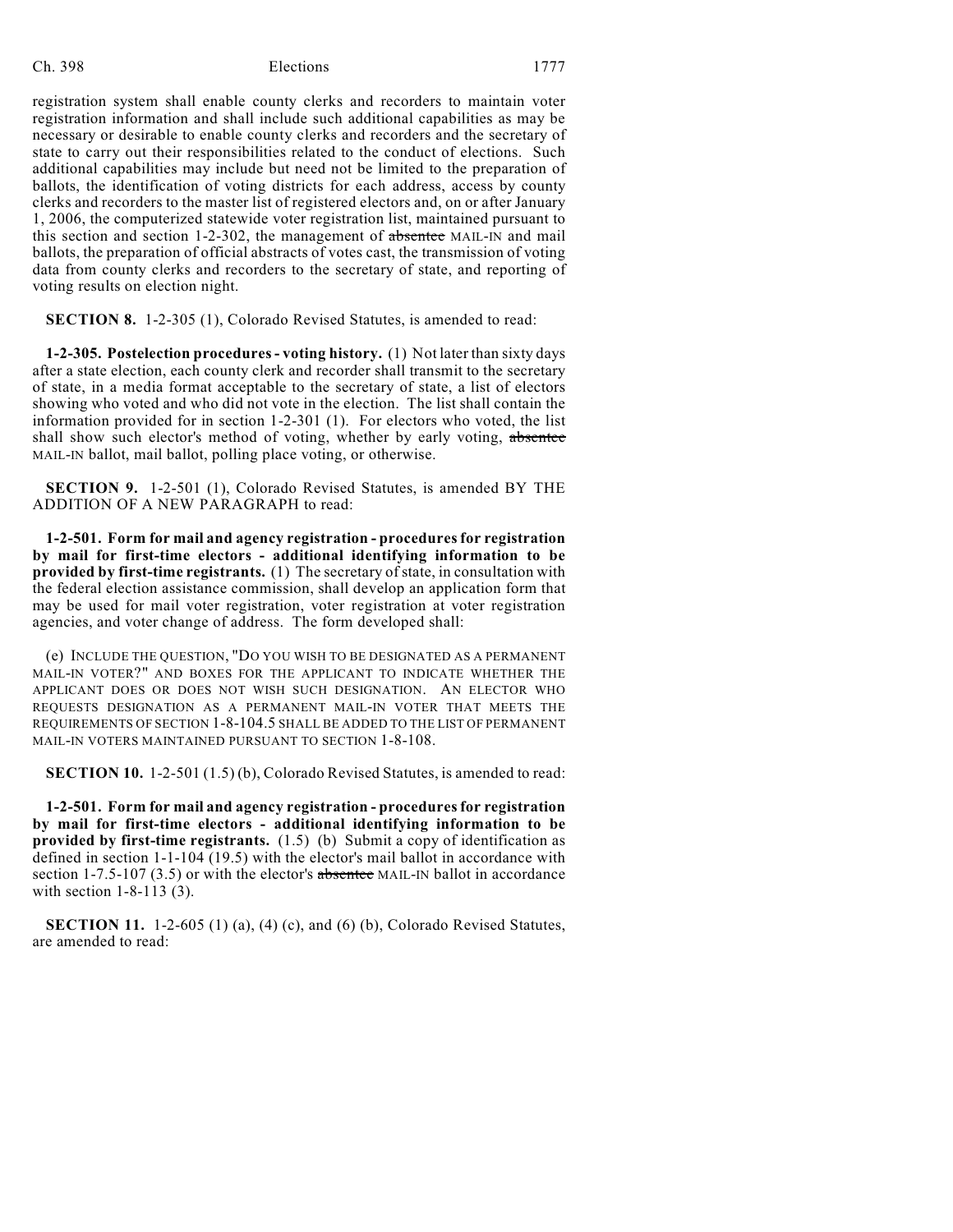registration system shall enable county clerks and recorders to maintain voter registration information and shall include such additional capabilities as may be necessary or desirable to enable county clerks and recorders and the secretary of state to carry out their responsibilities related to the conduct of elections. Such additional capabilities may include but need not be limited to the preparation of ballots, the identification of voting districts for each address, access by county clerks and recorders to the master list of registered electors and, on or after January 1, 2006, the computerized statewide voter registration list, maintained pursuant to this section and section 1-2-302, the management of absentee MAIL-IN and mail ballots, the preparation of official abstracts of votes cast, the transmission of voting data from county clerks and recorders to the secretary of state, and reporting of voting results on election night.

**SECTION 8.** 1-2-305 (1), Colorado Revised Statutes, is amended to read:

**1-2-305. Postelection procedures- voting history.** (1) Not later than sixty days after a state election, each county clerk and recorder shall transmit to the secretary of state, in a media format acceptable to the secretary of state, a list of electors showing who voted and who did not vote in the election. The list shall contain the information provided for in section 1-2-301 (1). For electors who voted, the list shall show such elector's method of voting, whether by early voting, absentee MAIL-IN ballot, mail ballot, polling place voting, or otherwise.

**SECTION 9.** 1-2-501 (1), Colorado Revised Statutes, is amended BY THE ADDITION OF A NEW PARAGRAPH to read:

**1-2-501. Form for mail and agency registration - procedures for registration by mail for first-time electors - additional identifying information to be provided by first-time registrants.** (1) The secretary of state, in consultation with the federal election assistance commission, shall develop an application form that may be used for mail voter registration, voter registration at voter registration agencies, and voter change of address. The form developed shall:

(e) INCLUDE THE QUESTION, "DO YOU WISH TO BE DESIGNATED AS A PERMANENT MAIL-IN VOTER?" AND BOXES FOR THE APPLICANT TO INDICATE WHETHER THE APPLICANT DOES OR DOES NOT WISH SUCH DESIGNATION. AN ELECTOR WHO REQUESTS DESIGNATION AS A PERMANENT MAIL-IN VOTER THAT MEETS THE REQUIREMENTS OF SECTION 1-8-104.5 SHALL BE ADDED TO THE LIST OF PERMANENT MAIL-IN VOTERS MAINTAINED PURSUANT TO SECTION 1-8-108.

**SECTION 10.** 1-2-501 (1.5) (b), Colorado Revised Statutes, is amended to read:

**1-2-501. Form for mail and agency registration - proceduresfor registration by mail for first-time electors - additional identifying information to be provided by first-time registrants.** (1.5) (b) Submit a copy of identification as defined in section 1-1-104 (19.5) with the elector's mail ballot in accordance with section 1-7.5-107 (3.5) or with the elector's absentee MAIL-IN ballot in accordance with section 1-8-113 (3).

**SECTION 11.** 1-2-605 (1) (a), (4) (c), and (6) (b), Colorado Revised Statutes, are amended to read: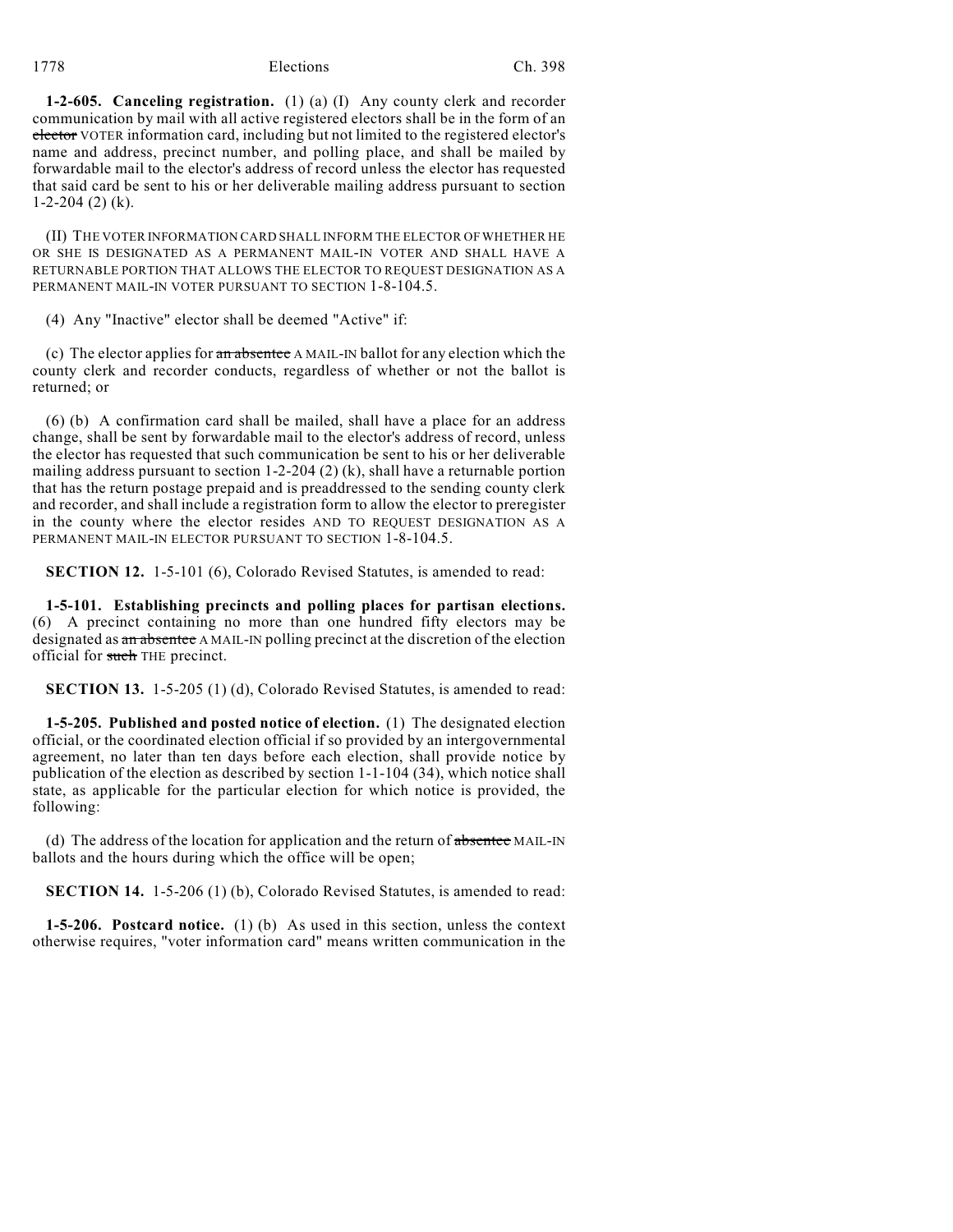1778 Elections Ch. 398

**1-2-605. Canceling registration.** (1) (a) (I) Any county clerk and recorder communication by mail with all active registered electors shall be in the form of an elector VOTER information card, including but not limited to the registered elector's name and address, precinct number, and polling place, and shall be mailed by forwardable mail to the elector's address of record unless the elector has requested that said card be sent to his or her deliverable mailing address pursuant to section  $1-2-204$  (2) (k).

(II) THE VOTER INFORMATION CARD SHALL INFORM THE ELECTOR OF WHETHER HE OR SHE IS DESIGNATED AS A PERMANENT MAIL-IN VOTER AND SHALL HAVE A RETURNABLE PORTION THAT ALLOWS THE ELECTOR TO REQUEST DESIGNATION AS A PERMANENT MAIL-IN VOTER PURSUANT TO SECTION 1-8-104.5.

(4) Any "Inactive" elector shall be deemed "Active" if:

(c) The elector applies for an absentee A MAIL-IN ballot for any election which the county clerk and recorder conducts, regardless of whether or not the ballot is returned; or

(6) (b) A confirmation card shall be mailed, shall have a place for an address change, shall be sent by forwardable mail to the elector's address of record, unless the elector has requested that such communication be sent to his or her deliverable mailing address pursuant to section 1-2-204 (2) (k), shall have a returnable portion that has the return postage prepaid and is preaddressed to the sending county clerk and recorder, and shall include a registration form to allow the elector to preregister in the county where the elector resides AND TO REQUEST DESIGNATION AS A PERMANENT MAIL-IN ELECTOR PURSUANT TO SECTION 1-8-104.5.

**SECTION 12.** 1-5-101 (6), Colorado Revised Statutes, is amended to read:

**1-5-101. Establishing precincts and polling places for partisan elections.** (6) A precinct containing no more than one hundred fifty electors may be designated as an absentee A MAIL-IN polling precinct at the discretion of the election official for such THE precinct.

**SECTION 13.** 1-5-205 (1) (d), Colorado Revised Statutes, is amended to read:

**1-5-205. Published and posted notice of election.** (1) The designated election official, or the coordinated election official if so provided by an intergovernmental agreement, no later than ten days before each election, shall provide notice by publication of the election as described by section 1-1-104 (34), which notice shall state, as applicable for the particular election for which notice is provided, the following:

(d) The address of the location for application and the return of absentee MAIL-IN ballots and the hours during which the office will be open;

**SECTION 14.** 1-5-206 (1) (b), Colorado Revised Statutes, is amended to read:

**1-5-206. Postcard notice.** (1) (b) As used in this section, unless the context otherwise requires, "voter information card" means written communication in the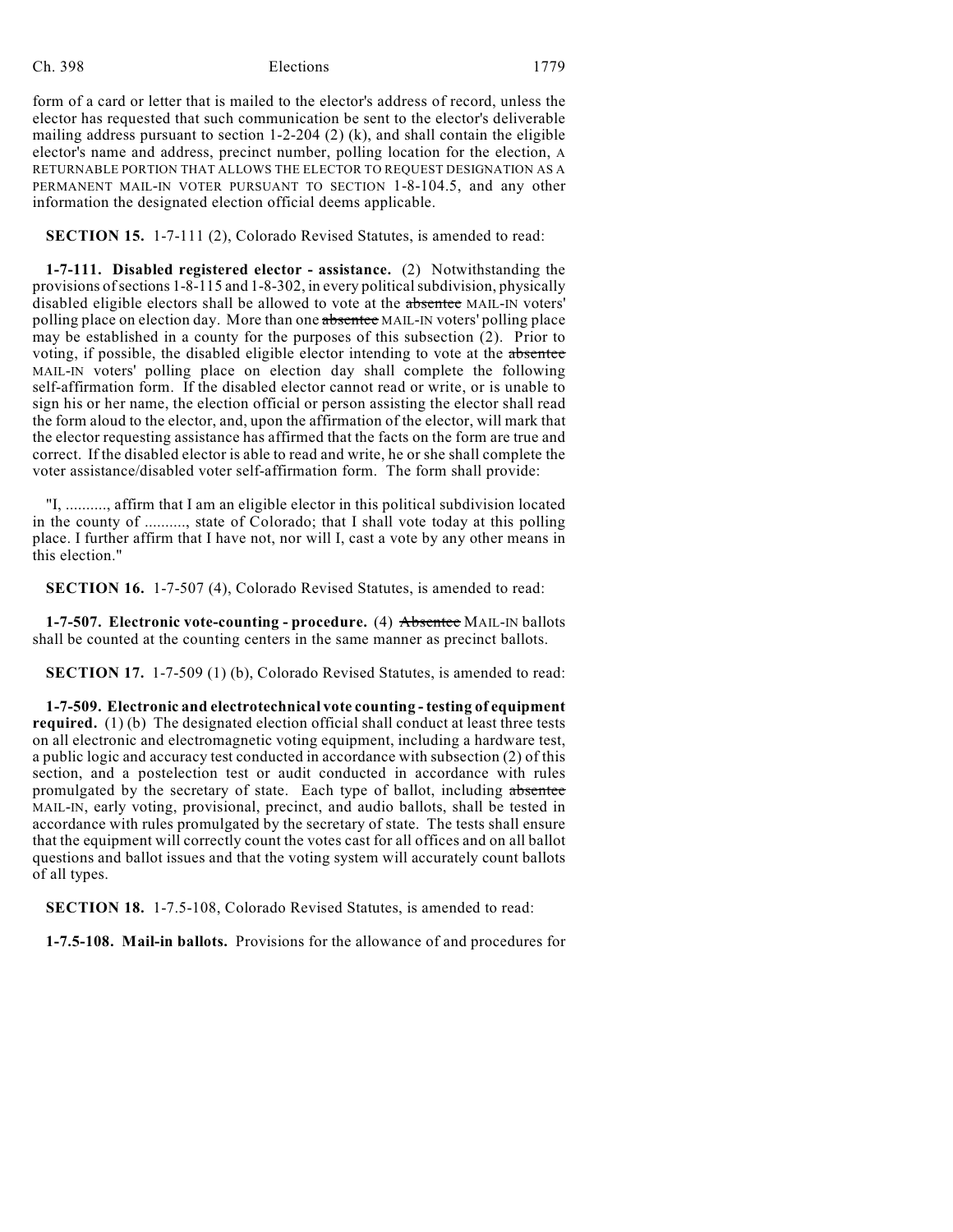form of a card or letter that is mailed to the elector's address of record, unless the elector has requested that such communication be sent to the elector's deliverable mailing address pursuant to section  $1-2-204$  (2) (k), and shall contain the eligible elector's name and address, precinct number, polling location for the election, A RETURNABLE PORTION THAT ALLOWS THE ELECTOR TO REQUEST DESIGNATION AS A PERMANENT MAIL-IN VOTER PURSUANT TO SECTION 1-8-104.5, and any other information the designated election official deems applicable.

**SECTION 15.** 1-7-111 (2), Colorado Revised Statutes, is amended to read:

**1-7-111. Disabled registered elector - assistance.** (2) Notwithstanding the provisions of sections 1-8-115 and 1-8-302, in every political subdivision, physically disabled eligible electors shall be allowed to vote at the absentee MAIL-IN voters' polling place on election day. More than one absentee MAIL-IN voters' polling place may be established in a county for the purposes of this subsection (2). Prior to voting, if possible, the disabled eligible elector intending to vote at the absentee MAIL-IN voters' polling place on election day shall complete the following self-affirmation form. If the disabled elector cannot read or write, or is unable to sign his or her name, the election official or person assisting the elector shall read the form aloud to the elector, and, upon the affirmation of the elector, will mark that the elector requesting assistance has affirmed that the facts on the form are true and correct. If the disabled elector is able to read and write, he or she shall complete the voter assistance/disabled voter self-affirmation form. The form shall provide:

"I, .........., affirm that I am an eligible elector in this political subdivision located in the county of .........., state of Colorado; that I shall vote today at this polling place. I further affirm that I have not, nor will I, cast a vote by any other means in this election."

**SECTION 16.** 1-7-507 (4), Colorado Revised Statutes, is amended to read:

**1-7-507. Electronic vote-counting - procedure.** (4) Absentee MAIL-IN ballots shall be counted at the counting centers in the same manner as precinct ballots.

**SECTION 17.** 1-7-509 (1) (b), Colorado Revised Statutes, is amended to read:

**1-7-509. Electronic and electrotechnical vote counting - testing of equipment required.** (1) (b) The designated election official shall conduct at least three tests on all electronic and electromagnetic voting equipment, including a hardware test, a public logic and accuracy test conducted in accordance with subsection (2) of this section, and a postelection test or audit conducted in accordance with rules promulgated by the secretary of state. Each type of ballot, including absentee MAIL-IN, early voting, provisional, precinct, and audio ballots, shall be tested in accordance with rules promulgated by the secretary of state. The tests shall ensure that the equipment will correctly count the votes cast for all offices and on all ballot questions and ballot issues and that the voting system will accurately count ballots of all types.

**SECTION 18.** 1-7.5-108, Colorado Revised Statutes, is amended to read:

**1-7.5-108. Mail-in ballots.** Provisions for the allowance of and procedures for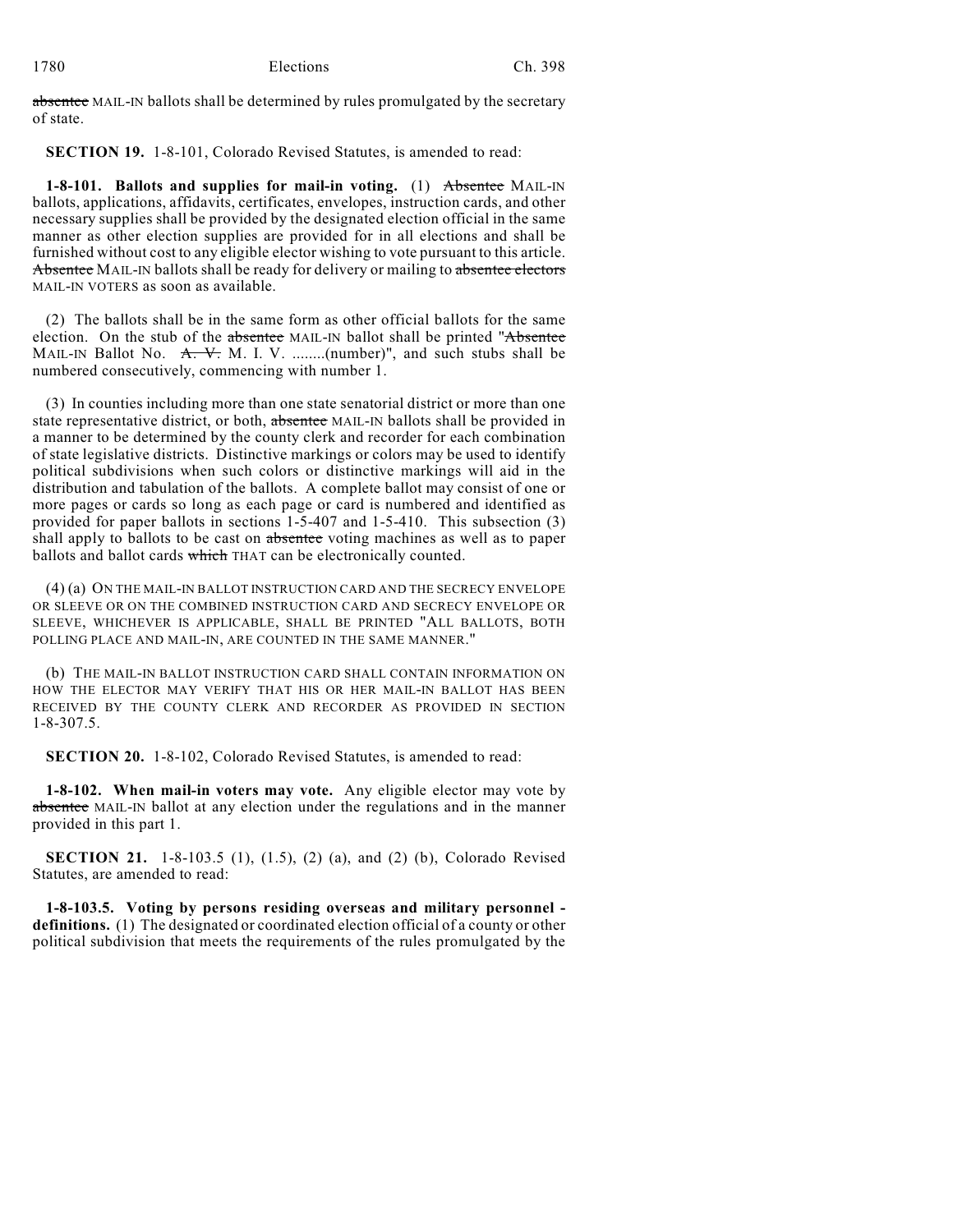| 1780 | Elections | Ch. 398 |  |
|------|-----------|---------|--|
|      |           |         |  |

absentee MAIL-IN ballots shall be determined by rules promulgated by the secretary of state.

**SECTION 19.** 1-8-101, Colorado Revised Statutes, is amended to read:

**1-8-101.** Ballots and supplies for mail-in voting. (1) Absentee MAIL-IN ballots, applications, affidavits, certificates, envelopes, instruction cards, and other necessary supplies shall be provided by the designated election official in the same manner as other election supplies are provided for in all elections and shall be furnished without cost to any eligible elector wishing to vote pursuant to this article. Absentee MAIL-IN ballots shall be ready for delivery or mailing to absentee electors MAIL-IN VOTERS as soon as available.

(2) The ballots shall be in the same form as other official ballots for the same election. On the stub of the absentee MAIL-IN ballot shall be printed "Absentee" MAIL-IN Ballot No.  $A. V. M. I. V.$  ........(number)", and such stubs shall be numbered consecutively, commencing with number 1.

(3) In counties including more than one state senatorial district or more than one state representative district, or both, absentee MAIL-IN ballots shall be provided in a manner to be determined by the county clerk and recorder for each combination of state legislative districts. Distinctive markings or colors may be used to identify political subdivisions when such colors or distinctive markings will aid in the distribution and tabulation of the ballots. A complete ballot may consist of one or more pages or cards so long as each page or card is numbered and identified as provided for paper ballots in sections 1-5-407 and 1-5-410. This subsection (3) shall apply to ballots to be cast on absentee voting machines as well as to paper ballots and ballot cards which THAT can be electronically counted.

(4) (a) ON THE MAIL-IN BALLOT INSTRUCTION CARD AND THE SECRECY ENVELOPE OR SLEEVE OR ON THE COMBINED INSTRUCTION CARD AND SECRECY ENVELOPE OR SLEEVE, WHICHEVER IS APPLICABLE, SHALL BE PRINTED "ALL BALLOTS, BOTH POLLING PLACE AND MAIL-IN, ARE COUNTED IN THE SAME MANNER."

(b) THE MAIL-IN BALLOT INSTRUCTION CARD SHALL CONTAIN INFORMATION ON HOW THE ELECTOR MAY VERIFY THAT HIS OR HER MAIL-IN BALLOT HAS BEEN RECEIVED BY THE COUNTY CLERK AND RECORDER AS PROVIDED IN SECTION 1-8-307.5.

**SECTION 20.** 1-8-102, Colorado Revised Statutes, is amended to read:

**1-8-102. When mail-in voters may vote.** Any eligible elector may vote by absentee MAIL-IN ballot at any election under the regulations and in the manner provided in this part 1.

**SECTION 21.** 1-8-103.5 (1), (1.5), (2) (a), and (2) (b), Colorado Revised Statutes, are amended to read:

**1-8-103.5. Voting by persons residing overseas and military personnel definitions.** (1) The designated or coordinated election official of a county or other political subdivision that meets the requirements of the rules promulgated by the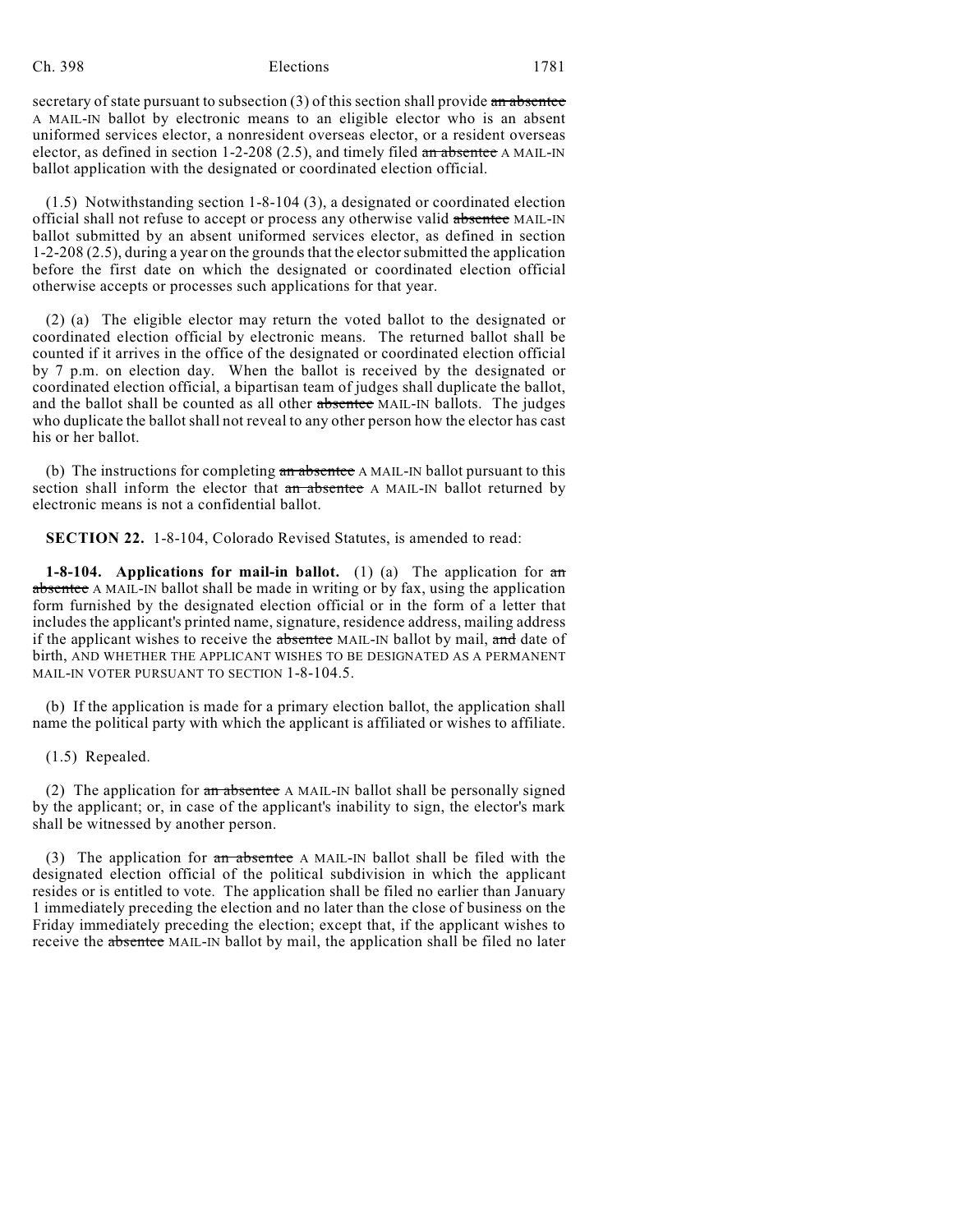secretary of state pursuant to subsection  $(3)$  of this section shall provide an absentee A MAIL-IN ballot by electronic means to an eligible elector who is an absent uniformed services elector, a nonresident overseas elector, or a resident overseas elector, as defined in section 1-2-208 (2.5), and timely filed an absentee A MAIL-IN ballot application with the designated or coordinated election official.

(1.5) Notwithstanding section 1-8-104 (3), a designated or coordinated election official shall not refuse to accept or process any otherwise valid absentee MAIL-IN ballot submitted by an absent uniformed services elector, as defined in section 1-2-208 (2.5), during a year on the grounds that the electorsubmitted the application before the first date on which the designated or coordinated election official otherwise accepts or processes such applications for that year.

(2) (a) The eligible elector may return the voted ballot to the designated or coordinated election official by electronic means. The returned ballot shall be counted if it arrives in the office of the designated or coordinated election official by 7 p.m. on election day. When the ballot is received by the designated or coordinated election official, a bipartisan team of judges shall duplicate the ballot, and the ballot shall be counted as all other absentee MAIL-IN ballots. The judges who duplicate the ballot shall not reveal to any other person how the elector has cast his or her ballot.

(b) The instructions for completing  $an$  absentee A MAIL-IN ballot pursuant to this section shall inform the elector that an absentee A MAIL-IN ballot returned by electronic means is not a confidential ballot.

**SECTION 22.** 1-8-104, Colorado Revised Statutes, is amended to read:

**1-8-104.** Applications for mail-in ballot. (1) (a) The application for  $\pi$ absentee A MAIL-IN ballot shall be made in writing or by fax, using the application form furnished by the designated election official or in the form of a letter that includes the applicant's printed name, signature, residence address, mailing address if the applicant wishes to receive the absentee MAIL-IN ballot by mail, and date of birth, AND WHETHER THE APPLICANT WISHES TO BE DESIGNATED AS A PERMANENT MAIL-IN VOTER PURSUANT TO SECTION 1-8-104.5.

(b) If the application is made for a primary election ballot, the application shall name the political party with which the applicant is affiliated or wishes to affiliate.

(1.5) Repealed.

(2) The application for  $\overline{an}$  absentee A MAIL-IN ballot shall be personally signed by the applicant; or, in case of the applicant's inability to sign, the elector's mark shall be witnessed by another person.

(3) The application for an absentee A MAIL-IN ballot shall be filed with the designated election official of the political subdivision in which the applicant resides or is entitled to vote. The application shall be filed no earlier than January 1 immediately preceding the election and no later than the close of business on the Friday immediately preceding the election; except that, if the applicant wishes to receive the absentee MAIL-IN ballot by mail, the application shall be filed no later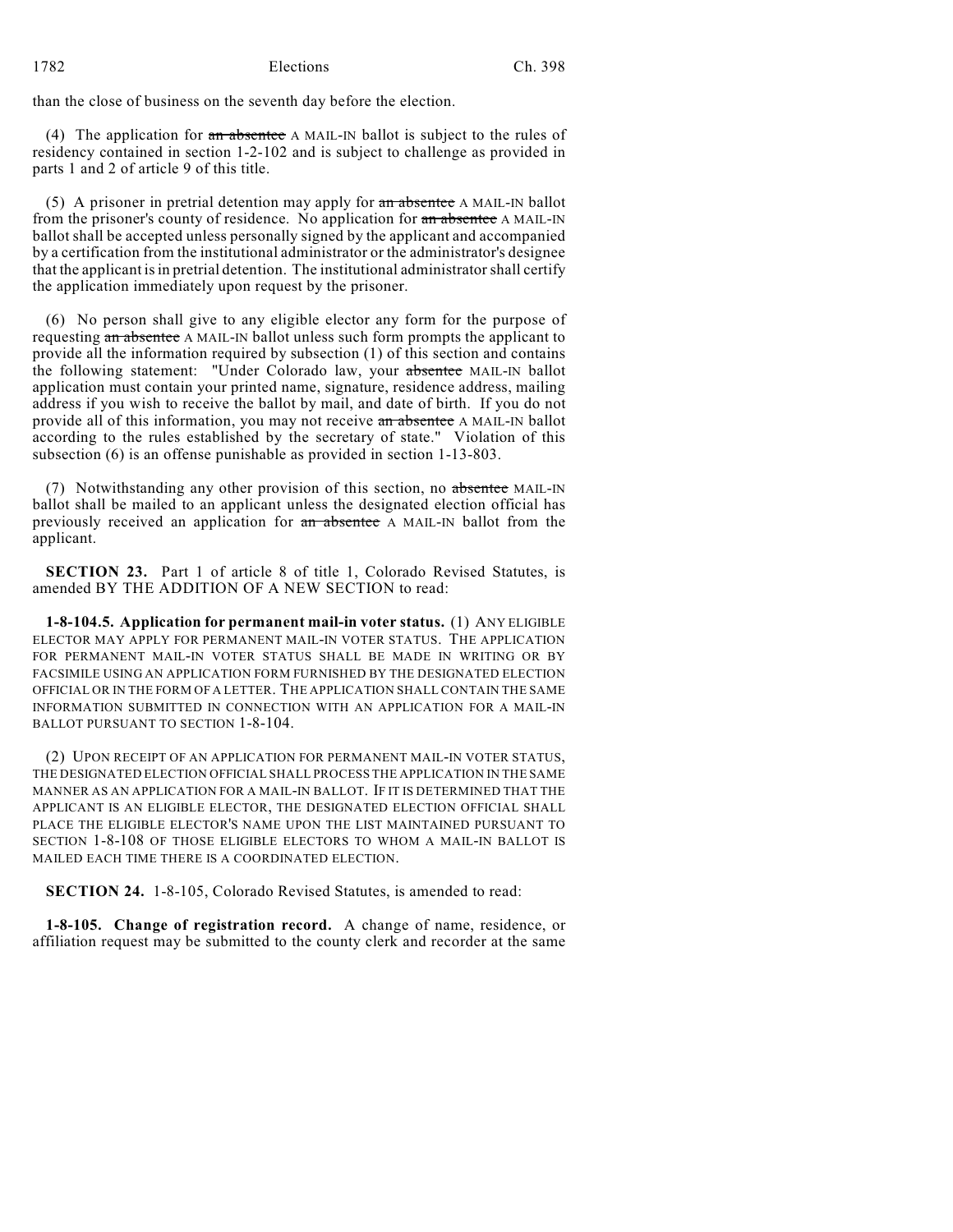than the close of business on the seventh day before the election.

(4) The application for an absentee A MAIL-IN ballot is subject to the rules of residency contained in section 1-2-102 and is subject to challenge as provided in parts 1 and 2 of article 9 of this title.

(5) A prisoner in pretrial detention may apply for  $\overline{an}$  absentee A MAIL-IN ballot from the prisoner's county of residence. No application for an absentee A MAIL-IN ballot shall be accepted unless personally signed by the applicant and accompanied by a certification from the institutional administrator or the administrator's designee that the applicant is in pretrial detention. The institutional administrator shall certify the application immediately upon request by the prisoner.

(6) No person shall give to any eligible elector any form for the purpose of requesting an absentee A MAIL-IN ballot unless such form prompts the applicant to provide all the information required by subsection (1) of this section and contains the following statement: "Under Colorado law, your absentee MAIL-IN ballot application must contain your printed name, signature, residence address, mailing address if you wish to receive the ballot by mail, and date of birth. If you do not provide all of this information, you may not receive an absentee A MAIL-IN ballot according to the rules established by the secretary of state." Violation of this subsection (6) is an offense punishable as provided in section 1-13-803.

(7) Notwithstanding any other provision of this section, no absentee MAIL-IN ballot shall be mailed to an applicant unless the designated election official has previously received an application for an absentee A MAIL-IN ballot from the applicant.

**SECTION 23.** Part 1 of article 8 of title 1, Colorado Revised Statutes, is amended BY THE ADDITION OF A NEW SECTION to read:

**1-8-104.5. Application for permanent mail-in voter status.** (1) ANY ELIGIBLE ELECTOR MAY APPLY FOR PERMANENT MAIL-IN VOTER STATUS. THE APPLICATION FOR PERMANENT MAIL-IN VOTER STATUS SHALL BE MADE IN WRITING OR BY FACSIMILE USING AN APPLICATION FORM FURNISHED BY THE DESIGNATED ELECTION OFFICIAL OR IN THE FORM OF A LETTER. THE APPLICATION SHALL CONTAIN THE SAME INFORMATION SUBMITTED IN CONNECTION WITH AN APPLICATION FOR A MAIL-IN BALLOT PURSUANT TO SECTION 1-8-104.

(2) UPON RECEIPT OF AN APPLICATION FOR PERMANENT MAIL-IN VOTER STATUS, THE DESIGNATED ELECTION OFFICIAL SHALL PROCESS THE APPLICATION IN THE SAME MANNER AS AN APPLICATION FOR A MAIL-IN BALLOT. IF IT IS DETERMINED THAT THE APPLICANT IS AN ELIGIBLE ELECTOR, THE DESIGNATED ELECTION OFFICIAL SHALL PLACE THE ELIGIBLE ELECTOR'S NAME UPON THE LIST MAINTAINED PURSUANT TO SECTION 1-8-108 OF THOSE ELIGIBLE ELECTORS TO WHOM A MAIL-IN BALLOT IS MAILED EACH TIME THERE IS A COORDINATED ELECTION.

**SECTION 24.** 1-8-105, Colorado Revised Statutes, is amended to read:

**1-8-105. Change of registration record.** A change of name, residence, or affiliation request may be submitted to the county clerk and recorder at the same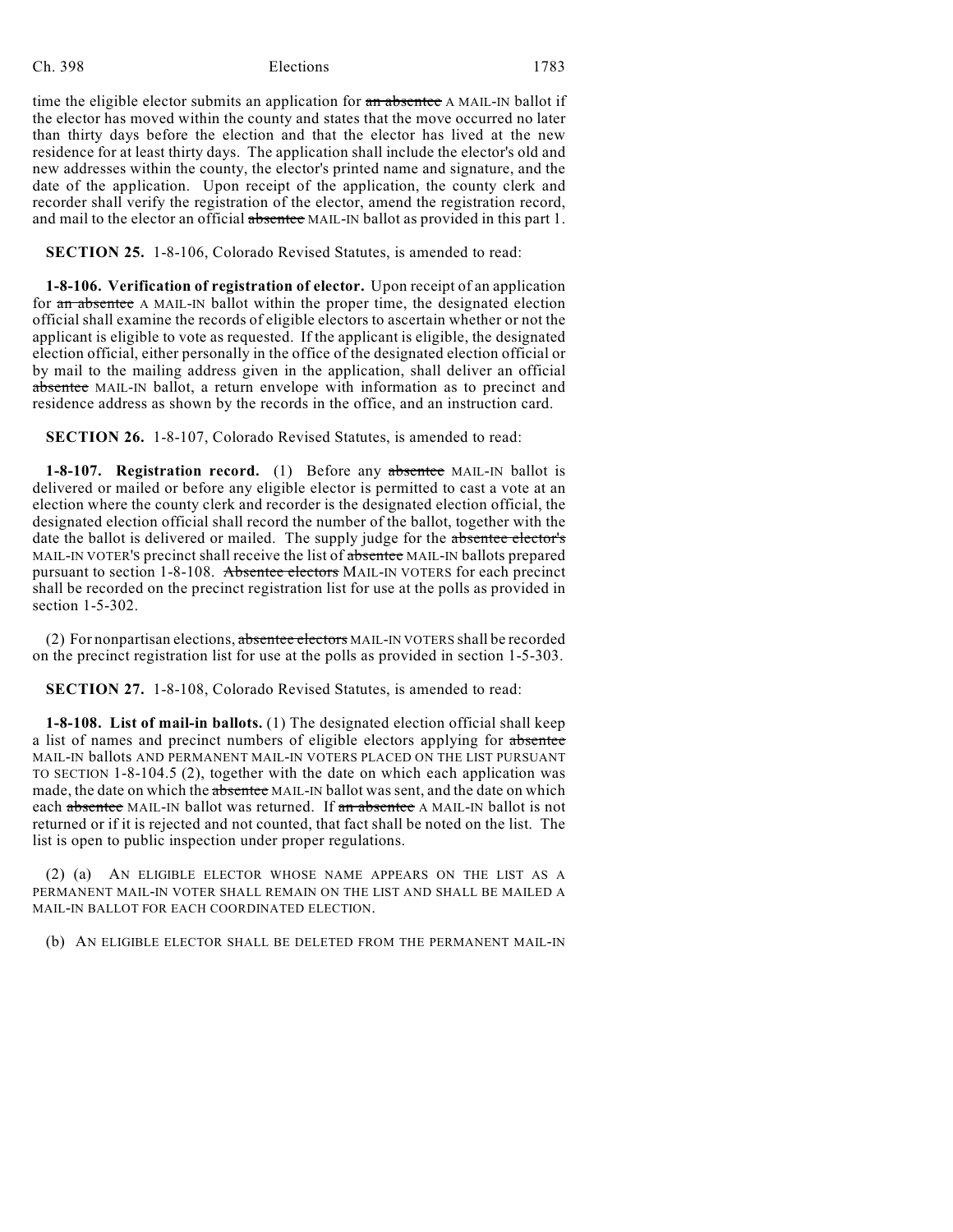time the eligible elector submits an application for an absentee A MAIL-IN ballot if the elector has moved within the county and states that the move occurred no later than thirty days before the election and that the elector has lived at the new residence for at least thirty days. The application shall include the elector's old and new addresses within the county, the elector's printed name and signature, and the date of the application. Upon receipt of the application, the county clerk and recorder shall verify the registration of the elector, amend the registration record, and mail to the elector an official absentee MAIL-IN ballot as provided in this part 1.

**SECTION 25.** 1-8-106, Colorado Revised Statutes, is amended to read:

**1-8-106. Verification of registration of elector.** Upon receipt of an application for an absentee A MAIL-IN ballot within the proper time, the designated election official shall examine the records of eligible electors to ascertain whether or not the applicant is eligible to vote as requested. If the applicant is eligible, the designated election official, either personally in the office of the designated election official or by mail to the mailing address given in the application, shall deliver an official absentee MAIL-IN ballot, a return envelope with information as to precinct and residence address as shown by the records in the office, and an instruction card.

**SECTION 26.** 1-8-107, Colorado Revised Statutes, is amended to read:

**1-8-107. Registration record.** (1) Before any absentee MAIL-IN ballot is delivered or mailed or before any eligible elector is permitted to cast a vote at an election where the county clerk and recorder is the designated election official, the designated election official shall record the number of the ballot, together with the date the ballot is delivered or mailed. The supply judge for the absentee elector's MAIL-IN VOTER'S precinct shall receive the list of absentee MAIL-IN ballots prepared pursuant to section 1-8-108. Absentee electors MAIL-IN VOTERS for each precinct shall be recorded on the precinct registration list for use at the polls as provided in section 1-5-302.

(2) For nonpartisan elections, absentee electors MAIL-IN VOTERS shall be recorded on the precinct registration list for use at the polls as provided in section 1-5-303.

**SECTION 27.** 1-8-108, Colorado Revised Statutes, is amended to read:

**1-8-108. List of mail-in ballots.** (1) The designated election official shall keep a list of names and precinct numbers of eligible electors applying for absentee MAIL-IN ballots AND PERMANENT MAIL-IN VOTERS PLACED ON THE LIST PURSUANT TO SECTION 1-8-104.5 (2), together with the date on which each application was made, the date on which the absentee MAIL-IN ballot was sent, and the date on which each absentee MAIL-IN ballot was returned. If an absentee A MAIL-IN ballot is not returned or if it is rejected and not counted, that fact shall be noted on the list. The list is open to public inspection under proper regulations.

(2) (a) AN ELIGIBLE ELECTOR WHOSE NAME APPEARS ON THE LIST AS A PERMANENT MAIL-IN VOTER SHALL REMAIN ON THE LIST AND SHALL BE MAILED A MAIL-IN BALLOT FOR EACH COORDINATED ELECTION.

(b) AN ELIGIBLE ELECTOR SHALL BE DELETED FROM THE PERMANENT MAIL-IN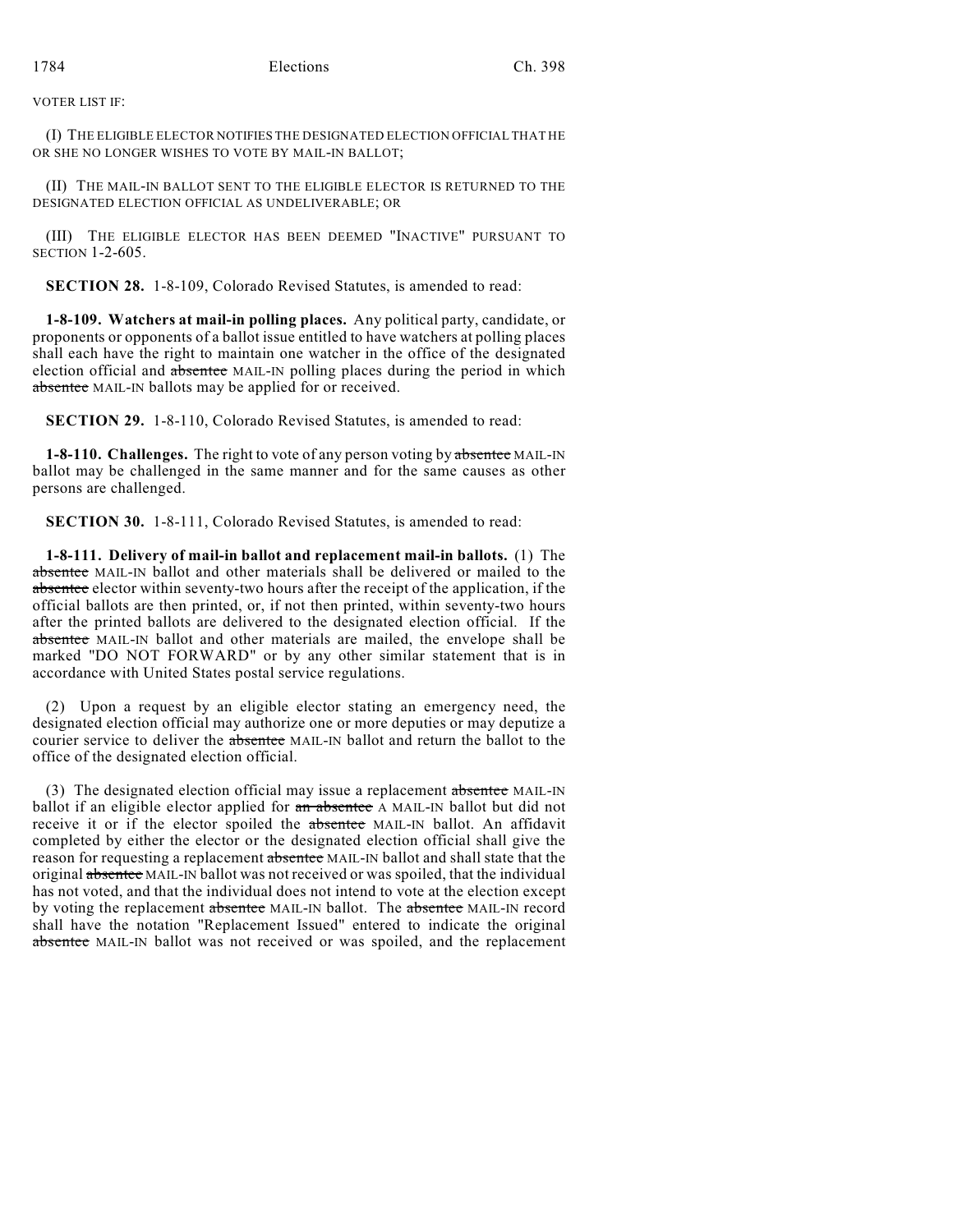VOTER LIST IF:

(I) THE ELIGIBLE ELECTOR NOTIFIES THE DESIGNATED ELECTION OFFICIAL THAT HE OR SHE NO LONGER WISHES TO VOTE BY MAIL-IN BALLOT;

(II) THE MAIL-IN BALLOT SENT TO THE ELIGIBLE ELECTOR IS RETURNED TO THE DESIGNATED ELECTION OFFICIAL AS UNDELIVERABLE; OR

(III) THE ELIGIBLE ELECTOR HAS BEEN DEEMED "INACTIVE" PURSUANT TO SECTION 1-2-605.

**SECTION 28.** 1-8-109, Colorado Revised Statutes, is amended to read:

**1-8-109. Watchers at mail-in polling places.** Any political party, candidate, or proponents or opponents of a ballot issue entitled to have watchers at polling places shall each have the right to maintain one watcher in the office of the designated election official and absentee MAIL-IN polling places during the period in which absentee MAIL-IN ballots may be applied for or received.

**SECTION 29.** 1-8-110, Colorado Revised Statutes, is amended to read:

**1-8-110. Challenges.** The right to vote of any person voting by absentee MAIL-IN ballot may be challenged in the same manner and for the same causes as other persons are challenged.

**SECTION 30.** 1-8-111, Colorado Revised Statutes, is amended to read:

**1-8-111. Delivery of mail-in ballot and replacement mail-in ballots.** (1) The absentee MAIL-IN ballot and other materials shall be delivered or mailed to the absentee elector within seventy-two hours after the receipt of the application, if the official ballots are then printed, or, if not then printed, within seventy-two hours after the printed ballots are delivered to the designated election official. If the absentee MAIL-IN ballot and other materials are mailed, the envelope shall be marked "DO NOT FORWARD" or by any other similar statement that is in accordance with United States postal service regulations.

(2) Upon a request by an eligible elector stating an emergency need, the designated election official may authorize one or more deputies or may deputize a courier service to deliver the absentee MAIL-IN ballot and return the ballot to the office of the designated election official.

(3) The designated election official may issue a replacement absentee MAIL-IN ballot if an eligible elector applied for an absentee A MAIL-IN ballot but did not receive it or if the elector spoiled the absentee MAIL-IN ballot. An affidavit completed by either the elector or the designated election official shall give the reason for requesting a replacement absentee MAIL-IN ballot and shall state that the original absentee MAIL-IN ballot was not received or was spoiled, that the individual has not voted, and that the individual does not intend to vote at the election except by voting the replacement absentee MAIL-IN ballot. The absentee MAIL-IN record shall have the notation "Replacement Issued" entered to indicate the original absentee MAIL-IN ballot was not received or was spoiled, and the replacement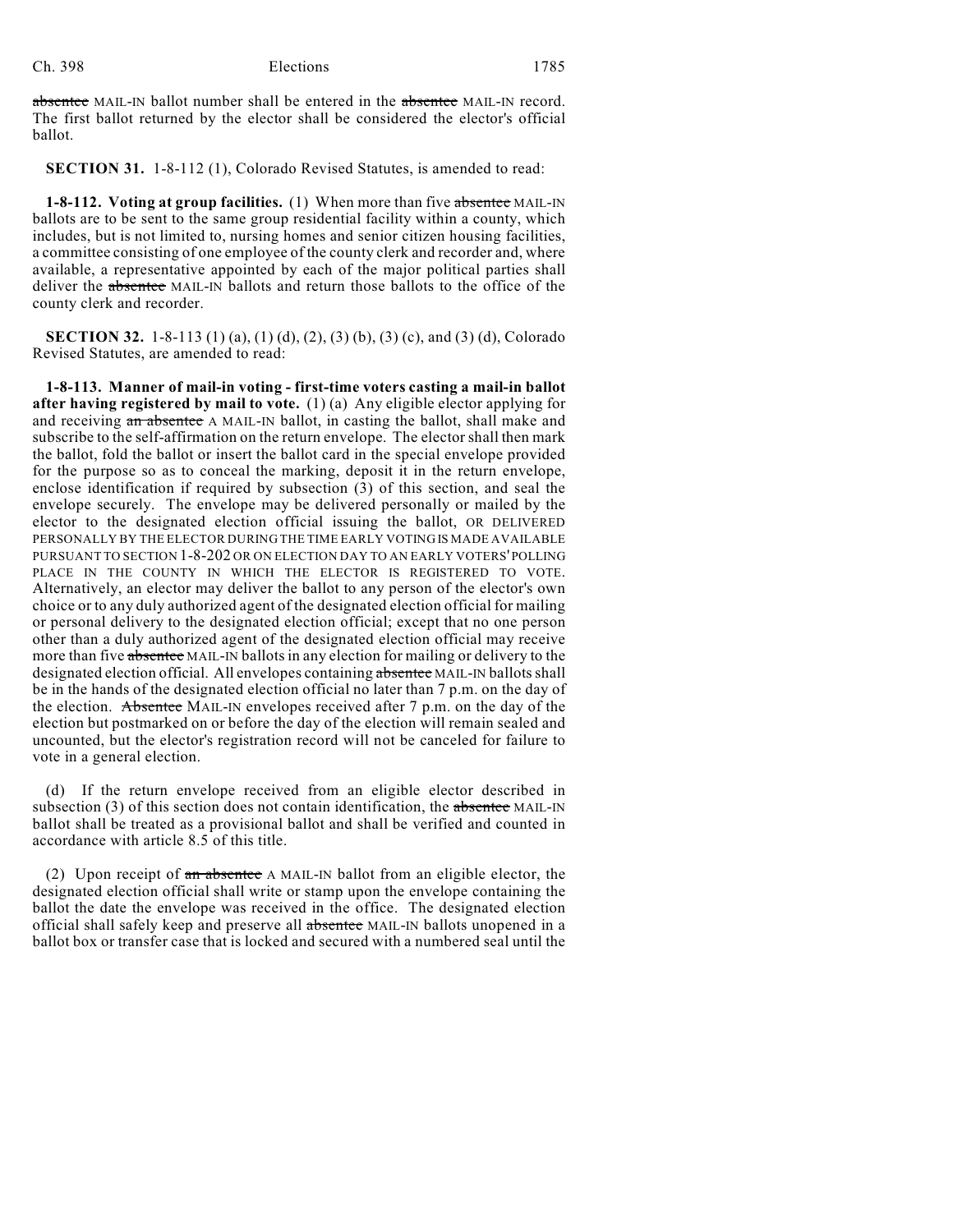absentee MAIL-IN ballot number shall be entered in the absentee MAIL-IN record. The first ballot returned by the elector shall be considered the elector's official ballot.

**SECTION 31.** 1-8-112 (1), Colorado Revised Statutes, is amended to read:

**1-8-112. Voting at group facilities.** (1) When more than five absentee MAIL-IN ballots are to be sent to the same group residential facility within a county, which includes, but is not limited to, nursing homes and senior citizen housing facilities, a committee consisting of one employee of the county clerk and recorder and, where available, a representative appointed by each of the major political parties shall deliver the absentee MAIL-IN ballots and return those ballots to the office of the county clerk and recorder.

**SECTION 32.** 1-8-113 (1) (a), (1) (d), (2), (3) (b), (3) (c), and (3) (d), Colorado Revised Statutes, are amended to read:

**1-8-113. Manner of mail-in voting - first-time voters casting a mail-in ballot after having registered by mail to vote.** (1) (a) Any eligible elector applying for and receiving an absentee A MAIL-IN ballot, in casting the ballot, shall make and subscribe to the self-affirmation on the return envelope. The elector shall then mark the ballot, fold the ballot or insert the ballot card in the special envelope provided for the purpose so as to conceal the marking, deposit it in the return envelope, enclose identification if required by subsection (3) of this section, and seal the envelope securely. The envelope may be delivered personally or mailed by the elector to the designated election official issuing the ballot, OR DELIVERED PERSONALLY BY THE ELECTOR DURING THE TIME EARLY VOTING IS MADE AVAILABLE PURSUANT TO SECTION 1-8-202 OR ON ELECTION DAY TO AN EARLY VOTERS' POLLING PLACE IN THE COUNTY IN WHICH THE ELECTOR IS REGISTERED TO VOTE. Alternatively, an elector may deliver the ballot to any person of the elector's own choice or to any duly authorized agent of the designated election official for mailing or personal delivery to the designated election official; except that no one person other than a duly authorized agent of the designated election official may receive more than five absentee MAIL-IN ballots in any election for mailing or delivery to the designated election official. All envelopes containing absentee MAIL-IN ballots shall be in the hands of the designated election official no later than 7 p.m. on the day of the election. Absentee MAIL-IN envelopes received after  $7 \text{ p.m.}$  on the day of the election but postmarked on or before the day of the election will remain sealed and uncounted, but the elector's registration record will not be canceled for failure to vote in a general election.

(d) If the return envelope received from an eligible elector described in subsection (3) of this section does not contain identification, the absentee MAIL-IN ballot shall be treated as a provisional ballot and shall be verified and counted in accordance with article 8.5 of this title.

(2) Upon receipt of  $\overline{a}$  and  $\overline{a}$  absentee A MAIL-IN ballot from an eligible elector, the designated election official shall write or stamp upon the envelope containing the ballot the date the envelope was received in the office. The designated election official shall safely keep and preserve all absentee MAIL-IN ballots unopened in a ballot box or transfer case that is locked and secured with a numbered seal until the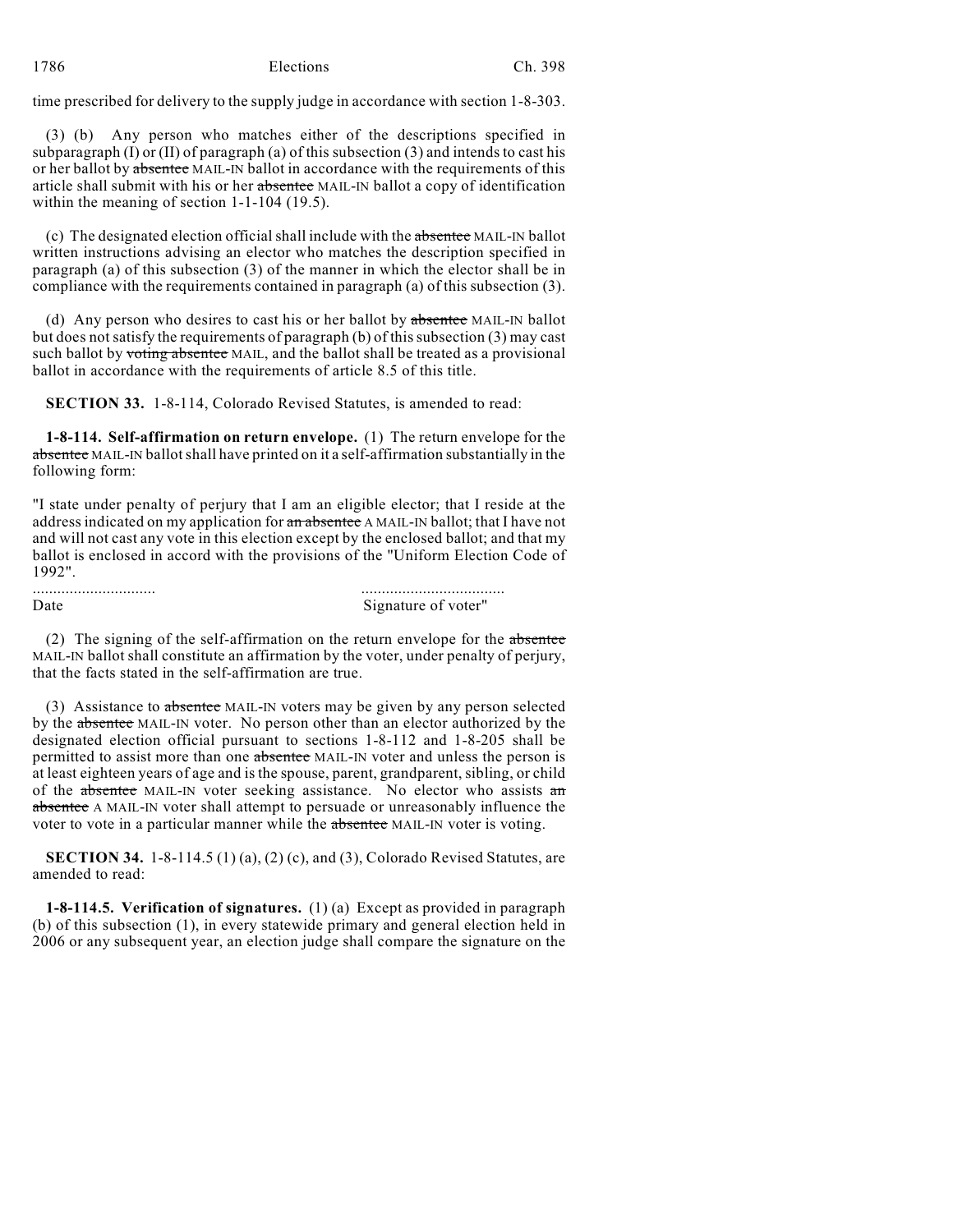| 1786 | Elections | Ch. 398 |
|------|-----------|---------|
|      |           |         |

time prescribed for delivery to the supply judge in accordance with section 1-8-303.

(3) (b) Any person who matches either of the descriptions specified in subparagraph (I) or (II) of paragraph (a) of this subsection  $(3)$  and intends to cast his or her ballot by absentee MAIL-IN ballot in accordance with the requirements of this article shall submit with his or her absentee MAIL-IN ballot a copy of identification within the meaning of section 1-1-104 (19.5).

(c) The designated election official shall include with the absentee MAIL-IN ballot written instructions advising an elector who matches the description specified in paragraph (a) of this subsection (3) of the manner in which the elector shall be in compliance with the requirements contained in paragraph (a) of this subsection (3).

(d) Any person who desires to cast his or her ballot by absentee MAIL-IN ballot but does not satisfy the requirements of paragraph (b) of thissubsection (3) may cast such ballot by voting absentee MAIL, and the ballot shall be treated as a provisional ballot in accordance with the requirements of article 8.5 of this title.

**SECTION 33.** 1-8-114, Colorado Revised Statutes, is amended to read:

**1-8-114. Self-affirmation on return envelope.** (1) The return envelope for the absentee MAIL-IN ballot shall have printed on it a self-affirmation substantially in the following form:

"I state under penalty of perjury that I am an eligible elector; that I reside at the address indicated on my application for an absentee A MAIL-IN ballot; that I have not and will not cast any vote in this election except by the enclosed ballot; and that my ballot is enclosed in accord with the provisions of the "Uniform Election Code of 1992".

.............................. ................................... Signature of voter"

(2) The signing of the self-affirmation on the return envelope for the absentee MAIL-IN ballot shall constitute an affirmation by the voter, under penalty of perjury, that the facts stated in the self-affirmation are true.

(3) Assistance to absentee MAIL-IN voters may be given by any person selected by the absentee MAIL-IN voter. No person other than an elector authorized by the designated election official pursuant to sections 1-8-112 and 1-8-205 shall be permitted to assist more than one absentee MAIL-IN voter and unless the person is at least eighteen years of age and is the spouse, parent, grandparent, sibling, or child of the absentee MAIL-IN voter seeking assistance. No elector who assists an absentee A MAIL-IN voter shall attempt to persuade or unreasonably influence the voter to vote in a particular manner while the absentee MAIL-IN voter is voting.

**SECTION 34.** 1-8-114.5 (1) (a), (2) (c), and (3), Colorado Revised Statutes, are amended to read:

**1-8-114.5. Verification of signatures.** (1) (a) Except as provided in paragraph (b) of this subsection (1), in every statewide primary and general election held in 2006 or any subsequent year, an election judge shall compare the signature on the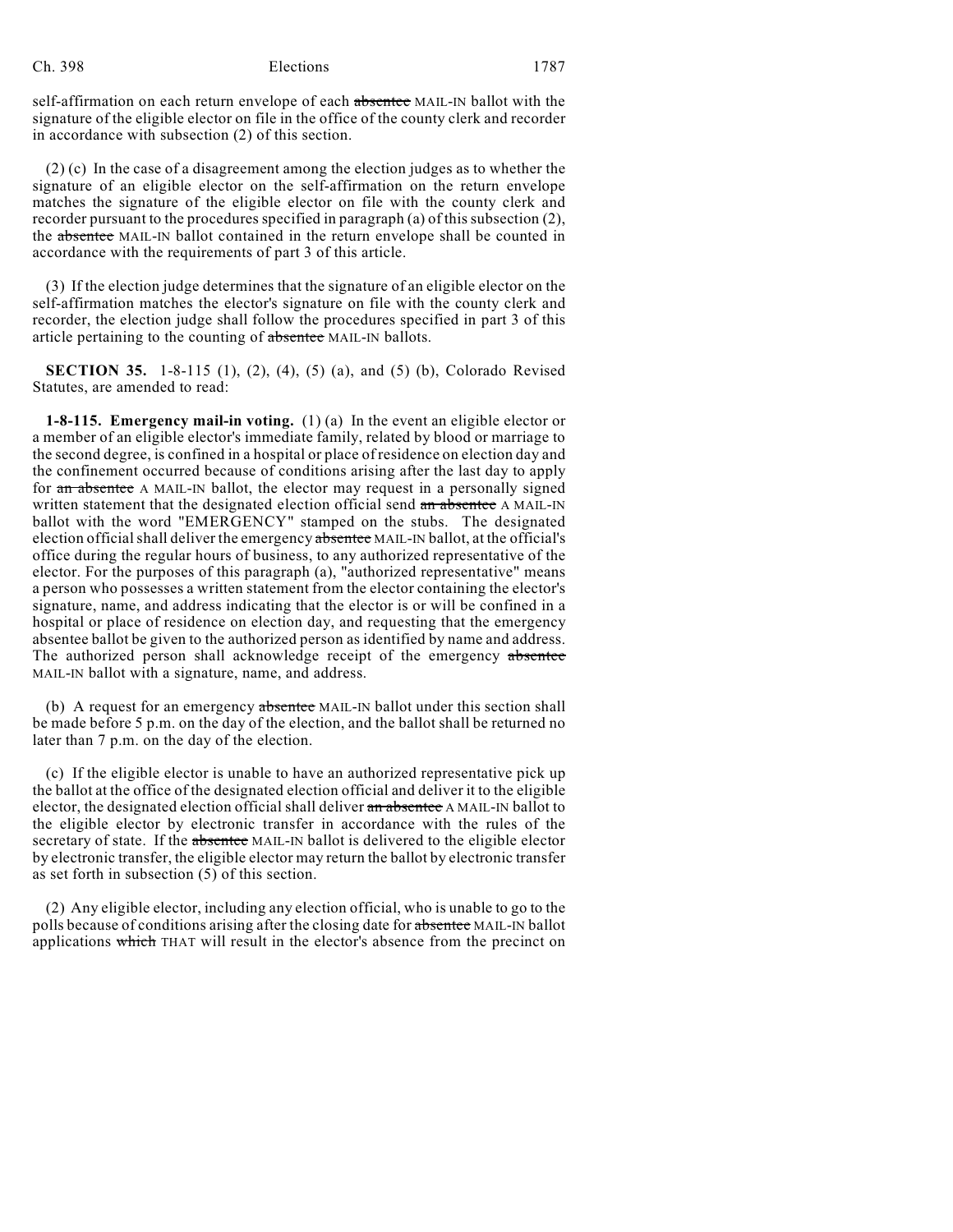self-affirmation on each return envelope of each absentee MAIL-IN ballot with the signature of the eligible elector on file in the office of the county clerk and recorder in accordance with subsection (2) of this section.

(2) (c) In the case of a disagreement among the election judges as to whether the signature of an eligible elector on the self-affirmation on the return envelope matches the signature of the eligible elector on file with the county clerk and recorder pursuant to the procedures specified in paragraph (a) of this subsection (2), the absentee MAIL-IN ballot contained in the return envelope shall be counted in accordance with the requirements of part 3 of this article.

(3) If the election judge determines that the signature of an eligible elector on the self-affirmation matches the elector's signature on file with the county clerk and recorder, the election judge shall follow the procedures specified in part 3 of this article pertaining to the counting of absentee MAIL-IN ballots.

**SECTION 35.** 1-8-115 (1), (2), (4), (5) (a), and (5) (b), Colorado Revised Statutes, are amended to read:

**1-8-115. Emergency mail-in voting.** (1) (a) In the event an eligible elector or a member of an eligible elector's immediate family, related by blood or marriage to the second degree, is confined in a hospital or place of residence on election day and the confinement occurred because of conditions arising after the last day to apply for an absentee A MAIL-IN ballot, the elector may request in a personally signed written statement that the designated election official send an absentee A MAIL-IN ballot with the word "EMERGENCY" stamped on the stubs. The designated election official shall deliver the emergency absentee MAIL-IN ballot, at the official's office during the regular hours of business, to any authorized representative of the elector. For the purposes of this paragraph (a), "authorized representative" means a person who possesses a written statement from the elector containing the elector's signature, name, and address indicating that the elector is or will be confined in a hospital or place of residence on election day, and requesting that the emergency absentee ballot be given to the authorized person as identified by name and address. The authorized person shall acknowledge receipt of the emergency absentee MAIL-IN ballot with a signature, name, and address.

(b) A request for an emergency absentee MAIL-IN ballot under this section shall be made before 5 p.m. on the day of the election, and the ballot shall be returned no later than 7 p.m. on the day of the election.

(c) If the eligible elector is unable to have an authorized representative pick up the ballot at the office of the designated election official and deliver it to the eligible elector, the designated election official shall deliver an absentee A MAIL-IN ballot to the eligible elector by electronic transfer in accordance with the rules of the secretary of state. If the absentee MAIL-IN ballot is delivered to the eligible elector by electronic transfer, the eligible elector may return the ballot by electronic transfer as set forth in subsection (5) of this section.

(2) Any eligible elector, including any election official, who is unable to go to the polls because of conditions arising after the closing date for absentee MAIL-IN ballot applications which THAT will result in the elector's absence from the precinct on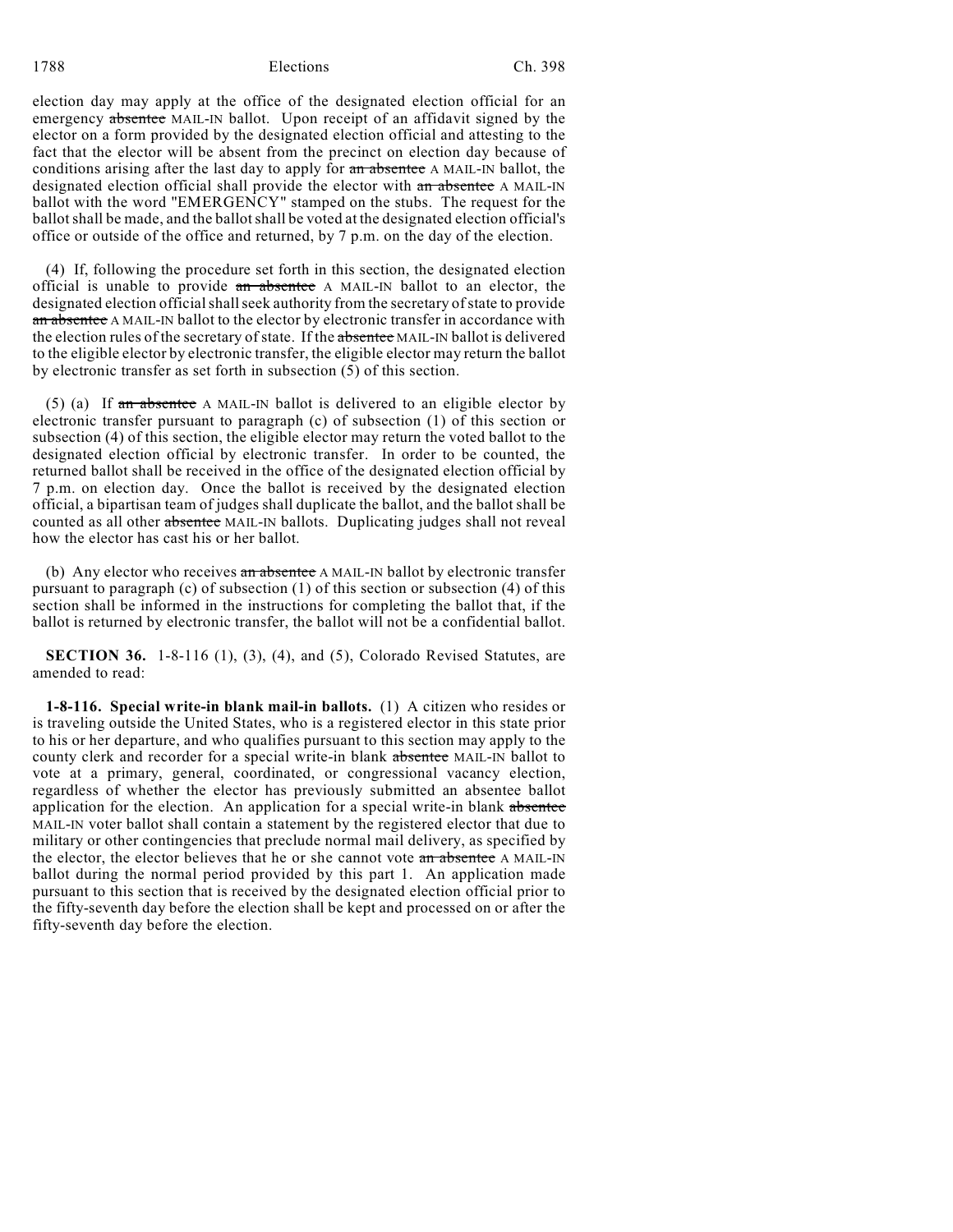### 1788 Elections Ch. 398

election day may apply at the office of the designated election official for an emergency absentee MAIL-IN ballot. Upon receipt of an affidavit signed by the elector on a form provided by the designated election official and attesting to the fact that the elector will be absent from the precinct on election day because of conditions arising after the last day to apply for an absentee A MAIL-IN ballot, the designated election official shall provide the elector with an absentee A MAIL-IN ballot with the word "EMERGENCY" stamped on the stubs. The request for the ballot shall be made, and the ballot shall be voted at the designated election official's office or outside of the office and returned, by 7 p.m. on the day of the election.

(4) If, following the procedure set forth in this section, the designated election official is unable to provide an absentee A MAIL-IN ballot to an elector, the designated election official shall seek authority from the secretary of state to provide an absentee A MAIL-IN ballot to the elector by electronic transfer in accordance with the election rules of the secretary of state. If the absentee MAIL-IN ballot is delivered to the eligible elector by electronic transfer, the eligible elector may return the ballot by electronic transfer as set forth in subsection (5) of this section.

(5) (a) If an absentee A MAIL-IN ballot is delivered to an eligible elector by electronic transfer pursuant to paragraph (c) of subsection (1) of this section or subsection (4) of this section, the eligible elector may return the voted ballot to the designated election official by electronic transfer. In order to be counted, the returned ballot shall be received in the office of the designated election official by 7 p.m. on election day. Once the ballot is received by the designated election official, a bipartisan team of judges shall duplicate the ballot, and the ballot shall be counted as all other absentee MAIL-IN ballots. Duplicating judges shall not reveal how the elector has cast his or her ballot.

(b) Any elector who receives an absentee A MAIL-IN ballot by electronic transfer pursuant to paragraph (c) of subsection (1) of this section or subsection (4) of this section shall be informed in the instructions for completing the ballot that, if the ballot is returned by electronic transfer, the ballot will not be a confidential ballot.

**SECTION 36.** 1-8-116 (1), (3), (4), and (5), Colorado Revised Statutes, are amended to read:

**1-8-116. Special write-in blank mail-in ballots.** (1) A citizen who resides or is traveling outside the United States, who is a registered elector in this state prior to his or her departure, and who qualifies pursuant to this section may apply to the county clerk and recorder for a special write-in blank absentee MAIL-IN ballot to vote at a primary, general, coordinated, or congressional vacancy election, regardless of whether the elector has previously submitted an absentee ballot application for the election. An application for a special write-in blank absentee MAIL-IN voter ballot shall contain a statement by the registered elector that due to military or other contingencies that preclude normal mail delivery, as specified by the elector, the elector believes that he or she cannot vote an absentee A MAIL-IN ballot during the normal period provided by this part 1. An application made pursuant to this section that is received by the designated election official prior to the fifty-seventh day before the election shall be kept and processed on or after the fifty-seventh day before the election.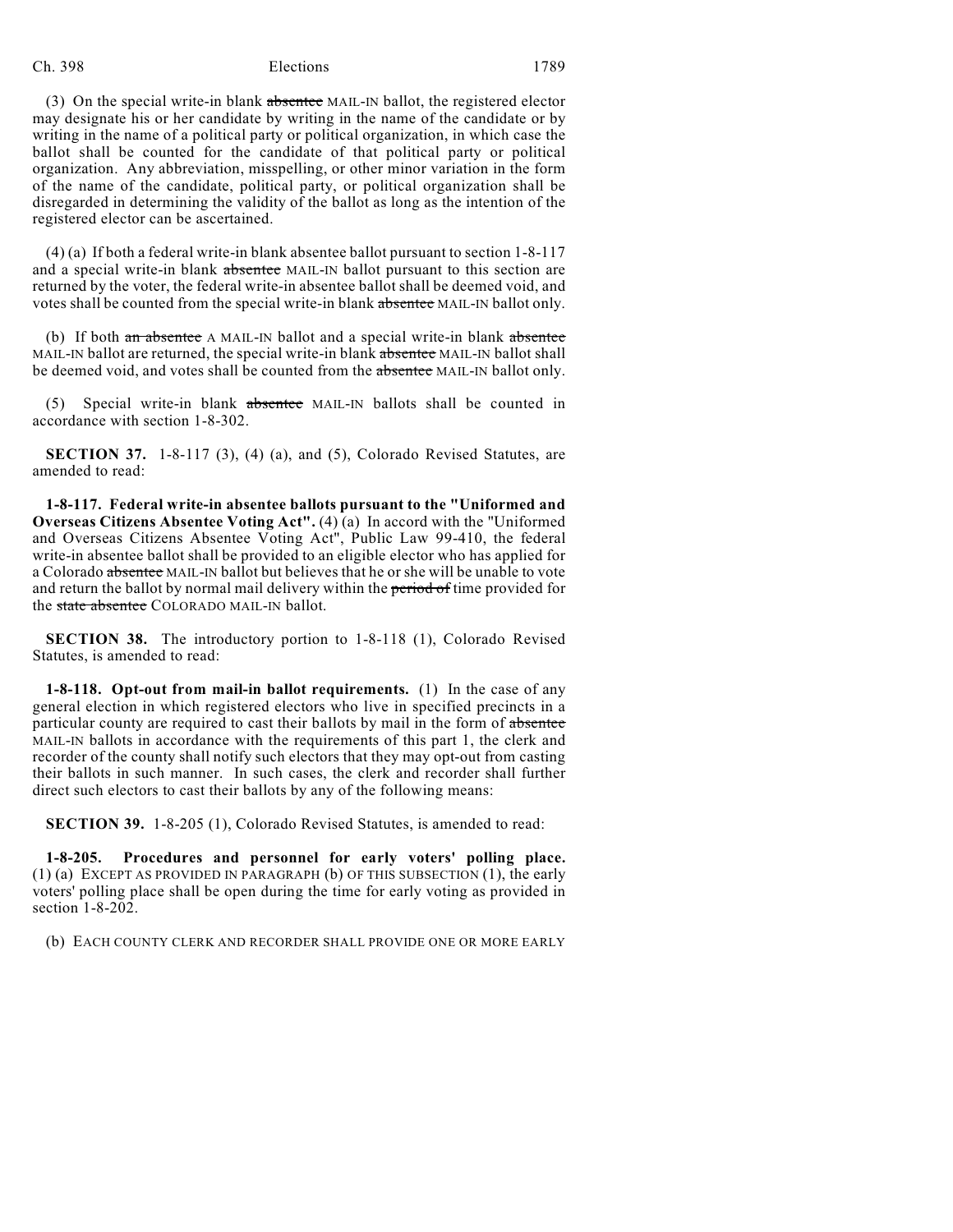(3) On the special write-in blank absentee MAIL-IN ballot, the registered elector may designate his or her candidate by writing in the name of the candidate or by writing in the name of a political party or political organization, in which case the ballot shall be counted for the candidate of that political party or political organization. Any abbreviation, misspelling, or other minor variation in the form of the name of the candidate, political party, or political organization shall be disregarded in determining the validity of the ballot as long as the intention of the registered elector can be ascertained.

(4) (a) If both a federal write-in blank absentee ballot pursuant to section 1-8-117 and a special write-in blank absentee MAIL-IN ballot pursuant to this section are returned by the voter, the federal write-in absentee ballot shall be deemed void, and votes shall be counted from the special write-in blank absentee MAIL-IN ballot only.

(b) If both an absentee A MAIL-IN ballot and a special write-in blank absentee MAIL-IN ballot are returned, the special write-in blank absentee MAIL-IN ballot shall be deemed void, and votes shall be counted from the absentee MAIL-IN ballot only.

(5) Special write-in blank absentee MAIL-IN ballots shall be counted in accordance with section 1-8-302.

**SECTION 37.** 1-8-117 (3), (4) (a), and (5), Colorado Revised Statutes, are amended to read:

**1-8-117. Federal write-in absentee ballots pursuant to the "Uniformed and Overseas Citizens Absentee Voting Act".** (4) (a) In accord with the "Uniformed and Overseas Citizens Absentee Voting Act", Public Law 99-410, the federal write-in absentee ballot shall be provided to an eligible elector who has applied for a Colorado absentee MAIL-IN ballot but believes that he or she will be unable to vote and return the ballot by normal mail delivery within the period of time provided for the state absentee COLORADO MAIL-IN ballot.

**SECTION 38.** The introductory portion to 1-8-118 (1), Colorado Revised Statutes, is amended to read:

**1-8-118. Opt-out from mail-in ballot requirements.** (1) In the case of any general election in which registered electors who live in specified precincts in a particular county are required to cast their ballots by mail in the form of absentee MAIL-IN ballots in accordance with the requirements of this part 1, the clerk and recorder of the county shall notify such electors that they may opt-out from casting their ballots in such manner. In such cases, the clerk and recorder shall further direct such electors to cast their ballots by any of the following means:

**SECTION 39.** 1-8-205 (1), Colorado Revised Statutes, is amended to read:

**1-8-205. Procedures and personnel for early voters' polling place.** (1) (a) EXCEPT AS PROVIDED IN PARAGRAPH (b) OF THIS SUBSECTION (1), the early voters' polling place shall be open during the time for early voting as provided in section 1-8-202.

(b) EACH COUNTY CLERK AND RECORDER SHALL PROVIDE ONE OR MORE EARLY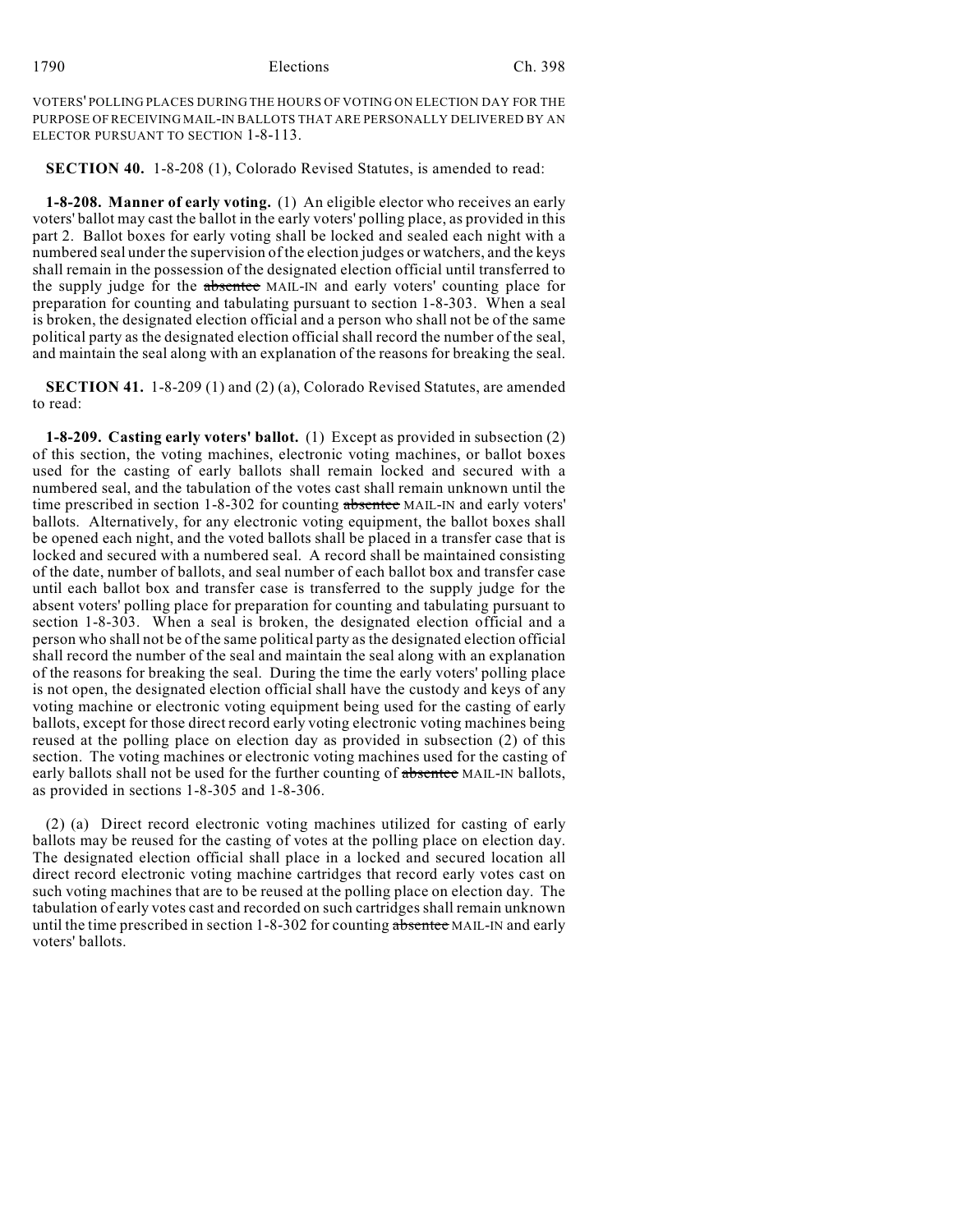VOTERS' POLLING PLACES DURING THE HOURS OF VOTING ON ELECTION DAY FOR THE PURPOSE OF RECEIVING MAIL-IN BALLOTS THAT ARE PERSONALLY DELIVERED BY AN ELECTOR PURSUANT TO SECTION 1-8-113.

**SECTION 40.** 1-8-208 (1), Colorado Revised Statutes, is amended to read:

**1-8-208. Manner of early voting.** (1) An eligible elector who receives an early voters' ballot may cast the ballot in the early voters' polling place, as provided in this part 2. Ballot boxes for early voting shall be locked and sealed each night with a numbered seal under the supervision of the election judges or watchers, and the keys shall remain in the possession of the designated election official until transferred to the supply judge for the absentee MAIL-IN and early voters' counting place for preparation for counting and tabulating pursuant to section 1-8-303. When a seal is broken, the designated election official and a person who shall not be of the same political party as the designated election official shall record the number of the seal, and maintain the seal along with an explanation of the reasons for breaking the seal.

**SECTION 41.** 1-8-209 (1) and (2) (a), Colorado Revised Statutes, are amended to read:

**1-8-209. Casting early voters' ballot.** (1) Except as provided in subsection (2) of this section, the voting machines, electronic voting machines, or ballot boxes used for the casting of early ballots shall remain locked and secured with a numbered seal, and the tabulation of the votes cast shall remain unknown until the time prescribed in section 1-8-302 for counting absentee MAIL-IN and early voters' ballots. Alternatively, for any electronic voting equipment, the ballot boxes shall be opened each night, and the voted ballots shall be placed in a transfer case that is locked and secured with a numbered seal. A record shall be maintained consisting of the date, number of ballots, and seal number of each ballot box and transfer case until each ballot box and transfer case is transferred to the supply judge for the absent voters' polling place for preparation for counting and tabulating pursuant to section 1-8-303. When a seal is broken, the designated election official and a person who shall not be of the same political party as the designated election official shall record the number of the seal and maintain the seal along with an explanation of the reasons for breaking the seal. During the time the early voters' polling place is not open, the designated election official shall have the custody and keys of any voting machine or electronic voting equipment being used for the casting of early ballots, except for those direct record early voting electronic voting machines being reused at the polling place on election day as provided in subsection (2) of this section. The voting machines or electronic voting machines used for the casting of early ballots shall not be used for the further counting of absentee MAIL-IN ballots, as provided in sections 1-8-305 and 1-8-306.

(2) (a) Direct record electronic voting machines utilized for casting of early ballots may be reused for the casting of votes at the polling place on election day. The designated election official shall place in a locked and secured location all direct record electronic voting machine cartridges that record early votes cast on such voting machines that are to be reused at the polling place on election day. The tabulation of early votes cast and recorded on such cartridges shall remain unknown until the time prescribed in section 1-8-302 for counting absentee MAIL-IN and early voters' ballots.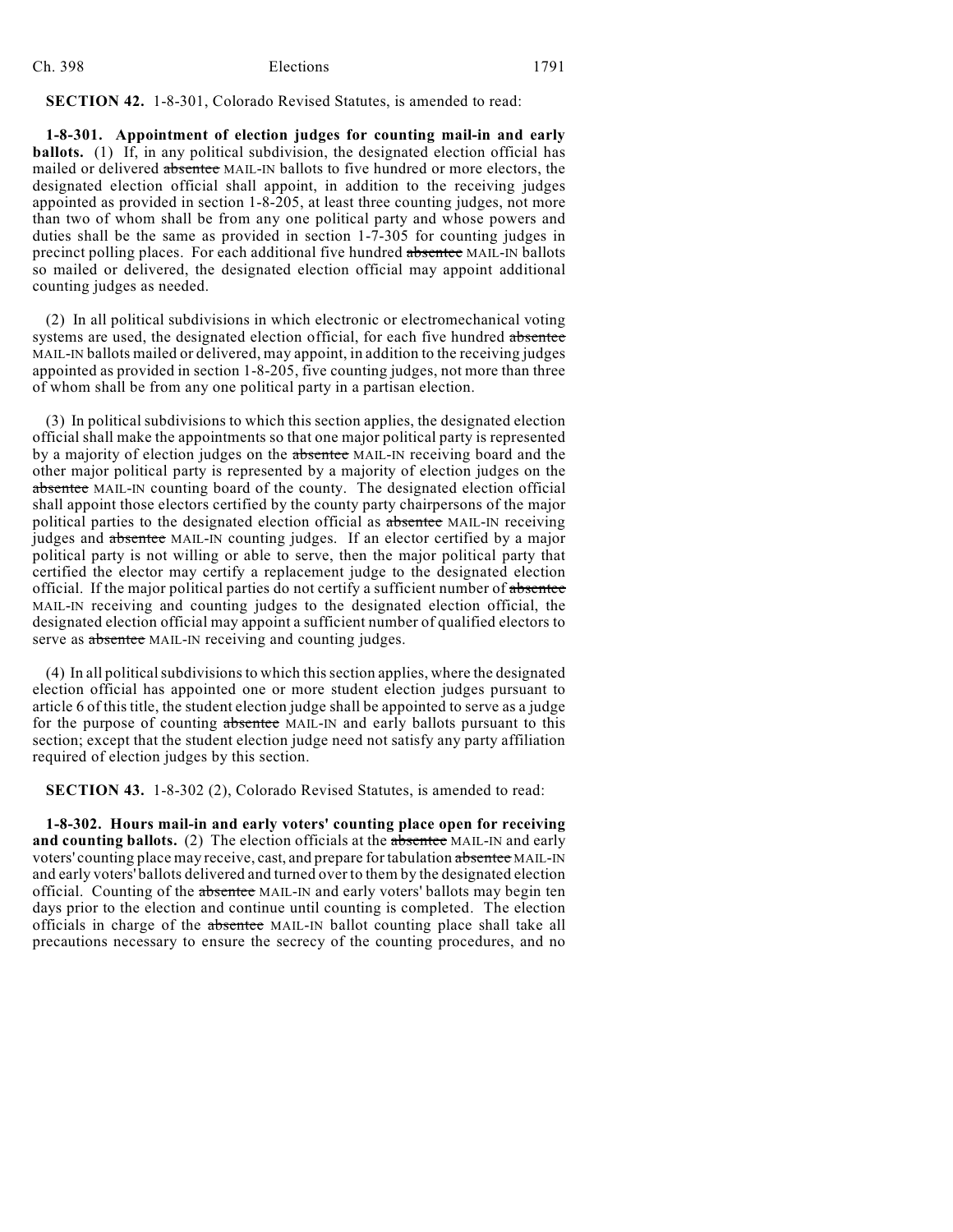# **SECTION 42.** 1-8-301, Colorado Revised Statutes, is amended to read:

**1-8-301. Appointment of election judges for counting mail-in and early ballots.** (1) If, in any political subdivision, the designated election official has mailed or delivered absentee MAIL-IN ballots to five hundred or more electors, the designated election official shall appoint, in addition to the receiving judges appointed as provided in section 1-8-205, at least three counting judges, not more than two of whom shall be from any one political party and whose powers and duties shall be the same as provided in section 1-7-305 for counting judges in precinct polling places. For each additional five hundred absentee MAIL-IN ballots so mailed or delivered, the designated election official may appoint additional counting judges as needed.

(2) In all political subdivisions in which electronic or electromechanical voting systems are used, the designated election official, for each five hundred absentee MAIL-IN ballots mailed or delivered, may appoint, in addition to the receiving judges appointed as provided in section 1-8-205, five counting judges, not more than three of whom shall be from any one political party in a partisan election.

(3) In political subdivisions to which this section applies, the designated election official shall make the appointments so that one major political party is represented by a majority of election judges on the absentee MAIL-IN receiving board and the other major political party is represented by a majority of election judges on the absentee MAIL-IN counting board of the county. The designated election official shall appoint those electors certified by the county party chairpersons of the major political parties to the designated election official as absentee MAIL-IN receiving judges and absentee MAIL-IN counting judges. If an elector certified by a major political party is not willing or able to serve, then the major political party that certified the elector may certify a replacement judge to the designated election official. If the major political parties do not certify a sufficient number of absentee MAIL-IN receiving and counting judges to the designated election official, the designated election official may appoint a sufficient number of qualified electors to serve as absentee MAIL-IN receiving and counting judges.

(4) In all political subdivisions to which this section applies, where the designated election official has appointed one or more student election judges pursuant to article 6 of this title, the student election judge shall be appointed to serve as a judge for the purpose of counting absentee MAIL-IN and early ballots pursuant to this section; except that the student election judge need not satisfy any party affiliation required of election judges by this section.

**SECTION 43.** 1-8-302 (2), Colorado Revised Statutes, is amended to read:

**1-8-302. Hours mail-in and early voters' counting place open for receiving and counting ballots.** (2) The election officials at the absentee MAIL-IN and early voters' counting place may receive, cast, and prepare for tabulation absentee MAIL-IN and early voters' ballots delivered and turned over to them by the designated election official. Counting of the absentee MAIL-IN and early voters' ballots may begin ten days prior to the election and continue until counting is completed. The election officials in charge of the absentee MAIL-IN ballot counting place shall take all precautions necessary to ensure the secrecy of the counting procedures, and no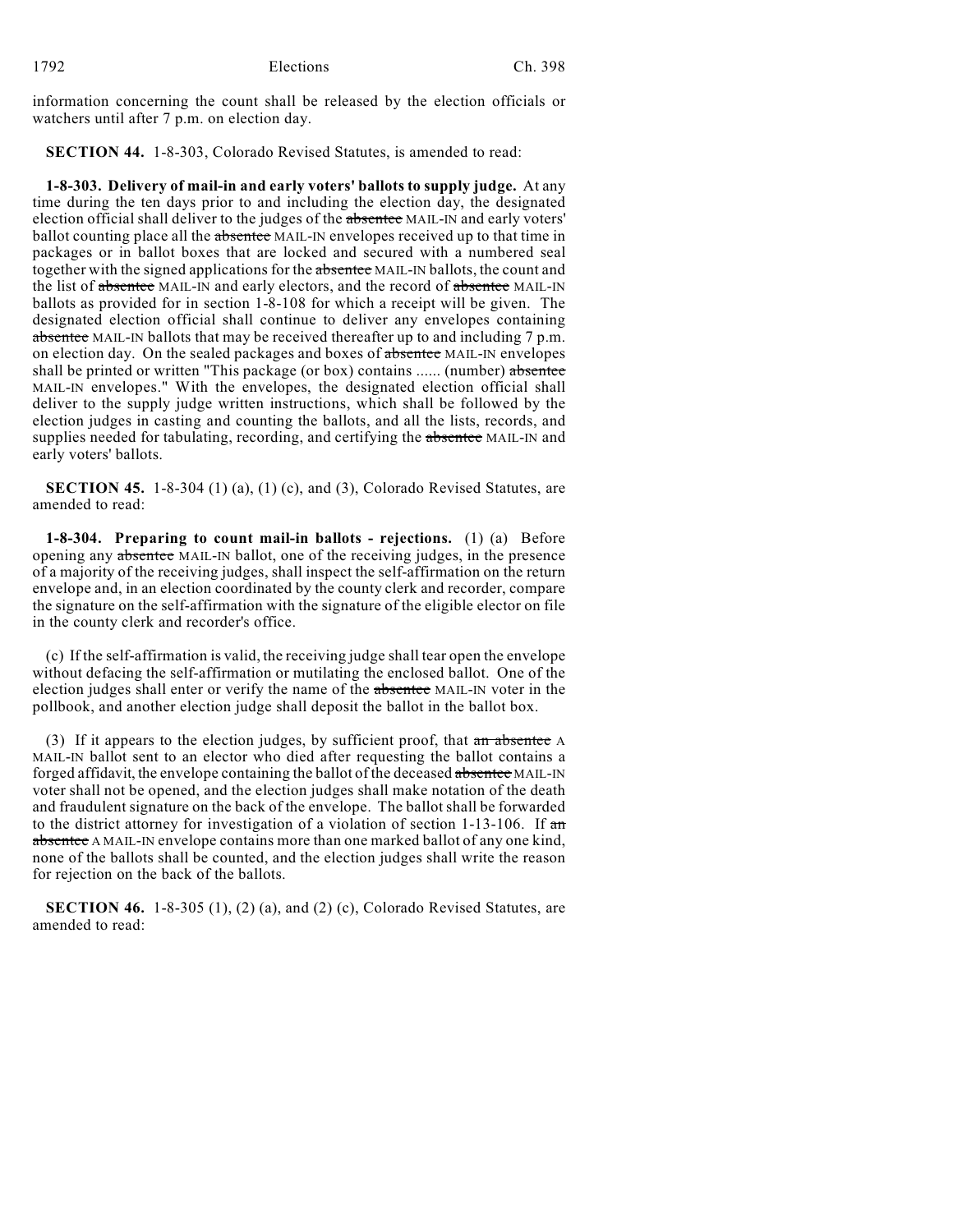information concerning the count shall be released by the election officials or watchers until after 7 p.m. on election day.

**SECTION 44.** 1-8-303, Colorado Revised Statutes, is amended to read:

**1-8-303. Delivery of mail-in and early voters' ballots to supply judge.** At any time during the ten days prior to and including the election day, the designated election official shall deliver to the judges of the absentee MAIL-IN and early voters' ballot counting place all the absentee MAIL-IN envelopes received up to that time in packages or in ballot boxes that are locked and secured with a numbered seal together with the signed applications for the absentee MAIL-IN ballots, the count and the list of absentee MAIL-IN and early electors, and the record of absentee MAIL-IN ballots as provided for in section 1-8-108 for which a receipt will be given. The designated election official shall continue to deliver any envelopes containing absentee MAIL-IN ballots that may be received thereafter up to and including 7 p.m. on election day. On the sealed packages and boxes of absentee MAIL-IN envelopes shall be printed or written "This package (or box) contains ...... (number) absentee MAIL-IN envelopes." With the envelopes, the designated election official shall deliver to the supply judge written instructions, which shall be followed by the election judges in casting and counting the ballots, and all the lists, records, and supplies needed for tabulating, recording, and certifying the absentee MAIL-IN and early voters' ballots.

**SECTION 45.** 1-8-304 (1) (a), (1) (c), and (3), Colorado Revised Statutes, are amended to read:

**1-8-304. Preparing to count mail-in ballots - rejections.** (1) (a) Before opening any absentee MAIL-IN ballot, one of the receiving judges, in the presence of a majority of the receiving judges, shall inspect the self-affirmation on the return envelope and, in an election coordinated by the county clerk and recorder, compare the signature on the self-affirmation with the signature of the eligible elector on file in the county clerk and recorder's office.

(c) If the self-affirmation is valid, the receiving judge shall tear open the envelope without defacing the self-affirmation or mutilating the enclosed ballot. One of the election judges shall enter or verify the name of the absentee MAIL-IN voter in the pollbook, and another election judge shall deposit the ballot in the ballot box.

(3) If it appears to the election judges, by sufficient proof, that  $a_n$  absentee A MAIL-IN ballot sent to an elector who died after requesting the ballot contains a forged affidavit, the envelope containing the ballot of the deceased absentee MAIL-IN voter shall not be opened, and the election judges shall make notation of the death and fraudulent signature on the back of the envelope. The ballot shall be forwarded to the district attorney for investigation of a violation of section 1-13-106. If  $\pi$ absentee A MAIL-IN envelope contains more than one marked ballot of any one kind, none of the ballots shall be counted, and the election judges shall write the reason for rejection on the back of the ballots.

**SECTION 46.** 1-8-305 (1), (2) (a), and (2) (c), Colorado Revised Statutes, are amended to read: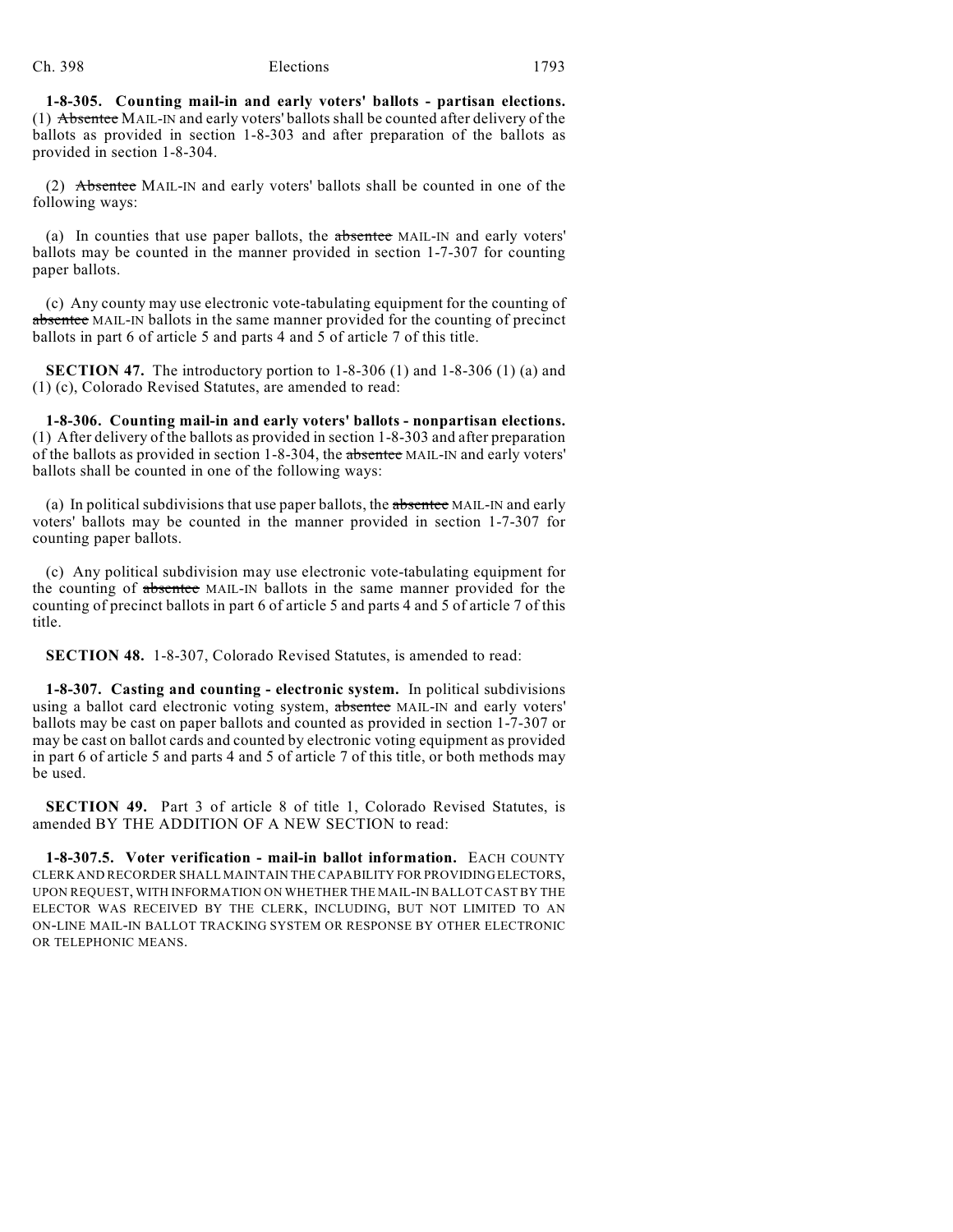**1-8-305. Counting mail-in and early voters' ballots - partisan elections.** (1) Absentee MAIL-IN and early voters' ballots shall be counted after delivery of the ballots as provided in section 1-8-303 and after preparation of the ballots as provided in section 1-8-304.

(2) Absentee MAIL-IN and early voters' ballots shall be counted in one of the following ways:

(a) In counties that use paper ballots, the absentee MAIL-IN and early voters' ballots may be counted in the manner provided in section 1-7-307 for counting paper ballots.

(c) Any county may use electronic vote-tabulating equipment for the counting of absentee MAIL-IN ballots in the same manner provided for the counting of precinct ballots in part 6 of article 5 and parts 4 and 5 of article 7 of this title.

**SECTION 47.** The introductory portion to 1-8-306 (1) and 1-8-306 (1) (a) and (1) (c), Colorado Revised Statutes, are amended to read:

**1-8-306. Counting mail-in and early voters' ballots - nonpartisan elections.** (1) After delivery of the ballots as provided in section 1-8-303 and after preparation of the ballots as provided in section 1-8-304, the absentee MAIL-IN and early voters' ballots shall be counted in one of the following ways:

(a) In political subdivisions that use paper ballots, the absentee MAIL-IN and early voters' ballots may be counted in the manner provided in section 1-7-307 for counting paper ballots.

(c) Any political subdivision may use electronic vote-tabulating equipment for the counting of absentee MAIL-IN ballots in the same manner provided for the counting of precinct ballots in part 6 of article 5 and parts 4 and 5 of article 7 of this title.

**SECTION 48.** 1-8-307, Colorado Revised Statutes, is amended to read:

**1-8-307. Casting and counting - electronic system.** In political subdivisions using a ballot card electronic voting system, absentee MAIL-IN and early voters' ballots may be cast on paper ballots and counted as provided in section 1-7-307 or may be cast on ballot cards and counted by electronic voting equipment as provided in part 6 of article 5 and parts 4 and 5 of article 7 of this title, or both methods may be used.

**SECTION 49.** Part 3 of article 8 of title 1, Colorado Revised Statutes, is amended BY THE ADDITION OF A NEW SECTION to read:

**1-8-307.5. Voter verification - mail-in ballot information.** EACH COUNTY CLERK AND RECORDER SHALL MAINTAIN THE CAPABILITY FOR PROVIDING ELECTORS, UPON REQUEST, WITH INFORMATION ON WHETHER THE MAIL-IN BALLOT CAST BY THE ELECTOR WAS RECEIVED BY THE CLERK, INCLUDING, BUT NOT LIMITED TO AN ON-LINE MAIL-IN BALLOT TRACKING SYSTEM OR RESPONSE BY OTHER ELECTRONIC OR TELEPHONIC MEANS.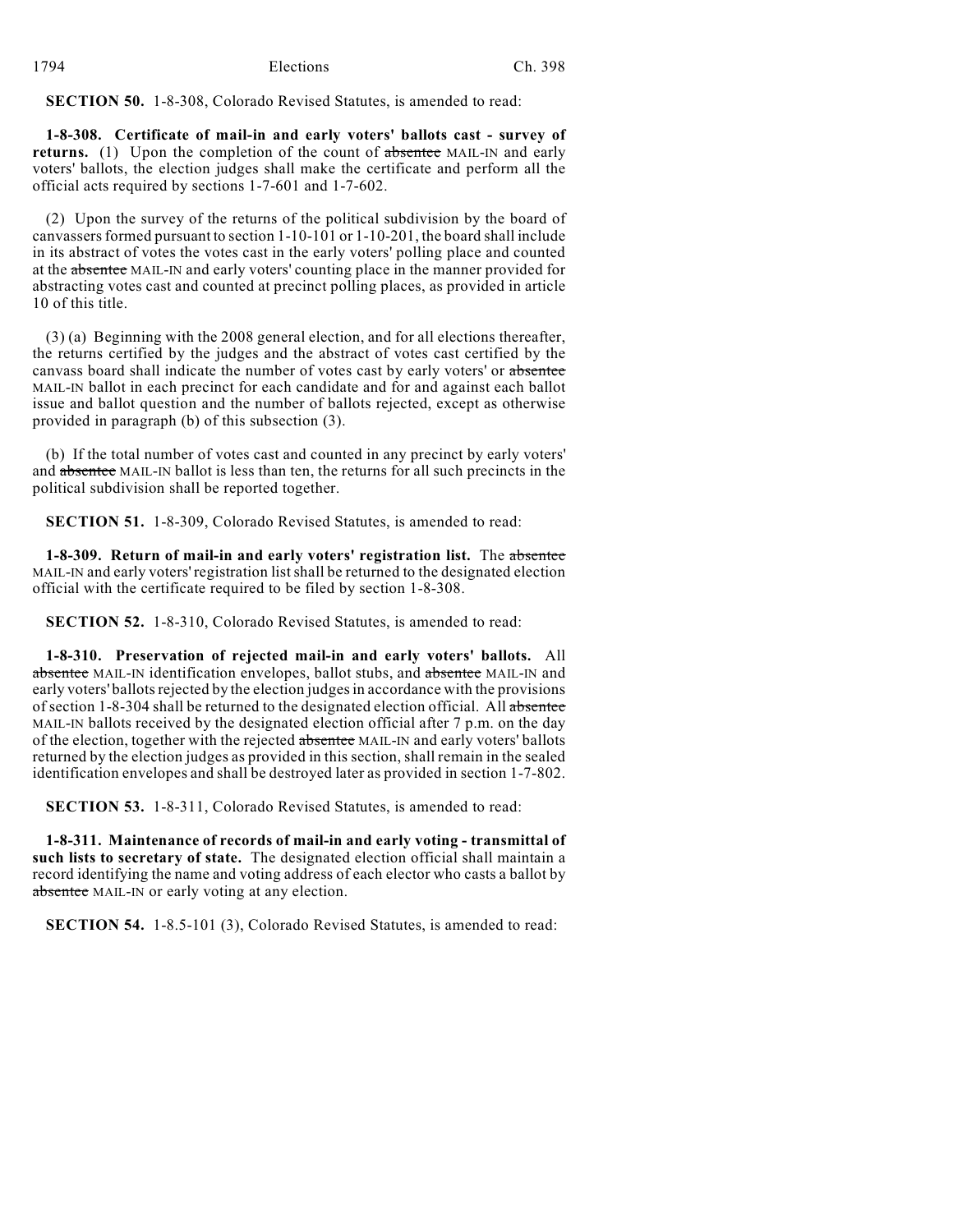**SECTION 50.** 1-8-308, Colorado Revised Statutes, is amended to read:

**1-8-308. Certificate of mail-in and early voters' ballots cast - survey of returns.** (1) Upon the completion of the count of absentee MAIL-IN and early voters' ballots, the election judges shall make the certificate and perform all the official acts required by sections 1-7-601 and 1-7-602.

(2) Upon the survey of the returns of the political subdivision by the board of canvassers formed pursuant to section 1-10-101 or 1-10-201, the board shall include in its abstract of votes the votes cast in the early voters' polling place and counted at the absentee MAIL-IN and early voters' counting place in the manner provided for abstracting votes cast and counted at precinct polling places, as provided in article 10 of this title.

(3) (a) Beginning with the 2008 general election, and for all elections thereafter, the returns certified by the judges and the abstract of votes cast certified by the canvass board shall indicate the number of votes cast by early voters' or absentee MAIL-IN ballot in each precinct for each candidate and for and against each ballot issue and ballot question and the number of ballots rejected, except as otherwise provided in paragraph (b) of this subsection (3).

(b) If the total number of votes cast and counted in any precinct by early voters' and absentee MAIL-IN ballot is less than ten, the returns for all such precincts in the political subdivision shall be reported together.

**SECTION 51.** 1-8-309, Colorado Revised Statutes, is amended to read:

**1-8-309. Return of mail-in and early voters' registration list.** The absentee MAIL-IN and early voters' registration list shall be returned to the designated election official with the certificate required to be filed by section 1-8-308.

**SECTION 52.** 1-8-310, Colorado Revised Statutes, is amended to read:

**1-8-310. Preservation of rejected mail-in and early voters' ballots.** All absentee MAIL-IN identification envelopes, ballot stubs, and absentee MAIL-IN and early voters' ballots rejected by the election judges in accordance with the provisions of section 1-8-304 shall be returned to the designated election official. All absentee MAIL-IN ballots received by the designated election official after 7 p.m. on the day of the election, together with the rejected absentee MAIL-IN and early voters' ballots returned by the election judges as provided in this section, shall remain in the sealed identification envelopes and shall be destroyed later as provided in section 1-7-802.

**SECTION 53.** 1-8-311, Colorado Revised Statutes, is amended to read:

**1-8-311. Maintenance of records of mail-in and early voting - transmittal of such lists to secretary of state.** The designated election official shall maintain a record identifying the name and voting address of each elector who casts a ballot by absentee MAIL-IN or early voting at any election.

**SECTION 54.** 1-8.5-101 (3), Colorado Revised Statutes, is amended to read: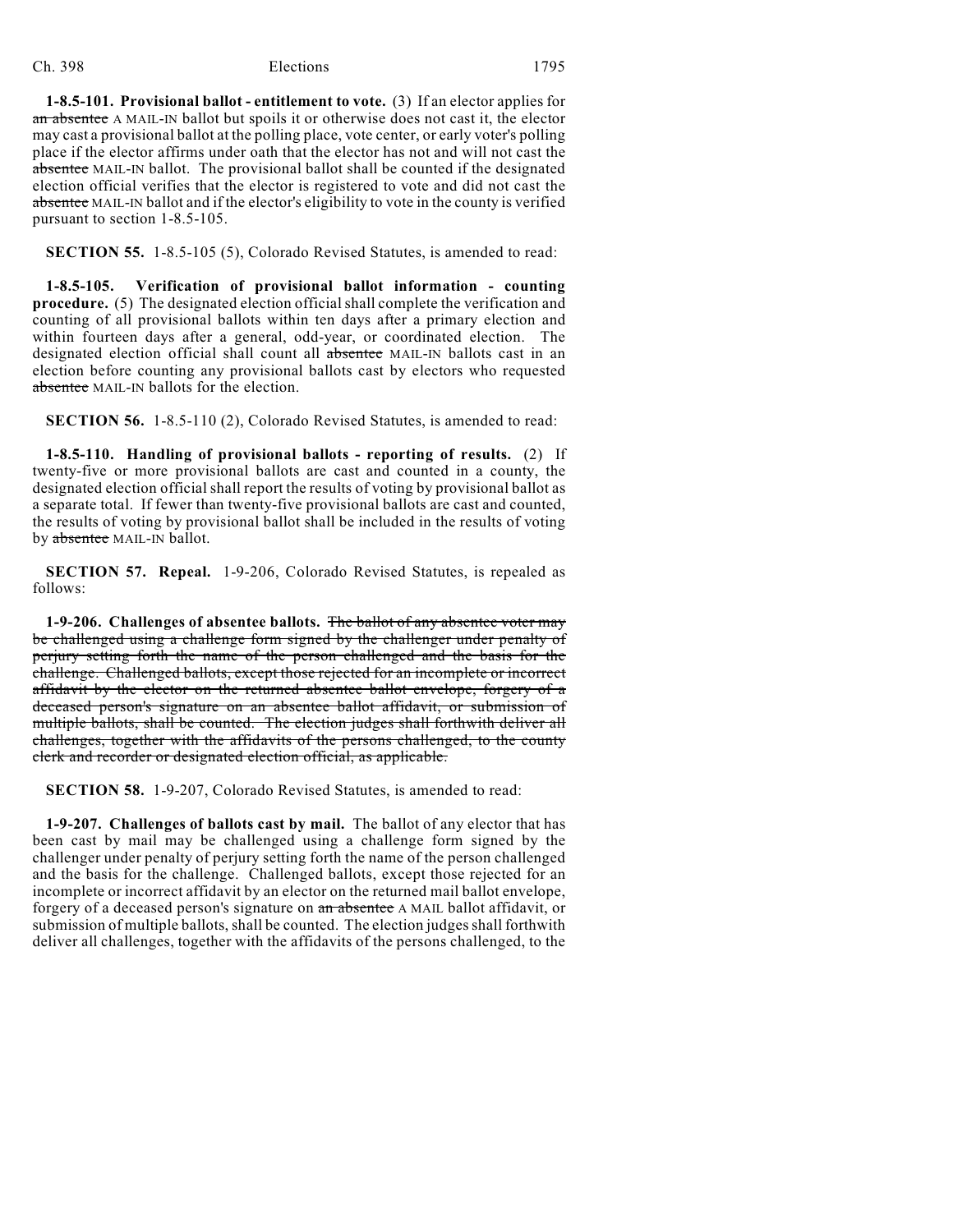**1-8.5-101. Provisional ballot - entitlement to vote.** (3) If an elector applies for an absentee A MAIL-IN ballot but spoils it or otherwise does not cast it, the elector may cast a provisional ballot at the polling place, vote center, or early voter's polling place if the elector affirms under oath that the elector has not and will not cast the absentee MAIL-IN ballot. The provisional ballot shall be counted if the designated election official verifies that the elector is registered to vote and did not cast the absentee MAIL-IN ballot and if the elector's eligibility to vote in the county is verified pursuant to section 1-8.5-105.

**SECTION 55.** 1-8.5-105 (5), Colorado Revised Statutes, is amended to read:

**1-8.5-105. Verification of provisional ballot information - counting procedure.** (5) The designated election officialshall complete the verification and counting of all provisional ballots within ten days after a primary election and within fourteen days after a general, odd-year, or coordinated election. The designated election official shall count all absentee MAIL-IN ballots cast in an election before counting any provisional ballots cast by electors who requested absentee MAIL-IN ballots for the election.

**SECTION 56.** 1-8.5-110 (2), Colorado Revised Statutes, is amended to read:

**1-8.5-110. Handling of provisional ballots - reporting of results.** (2) If twenty-five or more provisional ballots are cast and counted in a county, the designated election official shall report the results of voting by provisional ballot as a separate total. If fewer than twenty-five provisional ballots are cast and counted, the results of voting by provisional ballot shall be included in the results of voting by absentee MAIL-IN ballot.

**SECTION 57. Repeal.** 1-9-206, Colorado Revised Statutes, is repealed as follows:

**1-9-206. Challenges of absentee ballots.** The ballot of any absentee voter may be challenged using a challenge form signed by the challenger under penalty of perjury setting forth the name of the person challenged and the basis for the challenge. Challenged ballots, except those rejected for an incomplete or incorrect affidavit by the elector on the returned absentee ballot envelope, forgery of a deceased person's signature on an absentee ballot affidavit, or submission of multiple ballots, shall be counted. The election judges shall forthwith deliver all challenges, together with the affidavits of the persons challenged, to the county clerk and recorder or designated election official, as applicable.

**SECTION 58.** 1-9-207, Colorado Revised Statutes, is amended to read:

**1-9-207. Challenges of ballots cast by mail.** The ballot of any elector that has been cast by mail may be challenged using a challenge form signed by the challenger under penalty of perjury setting forth the name of the person challenged and the basis for the challenge. Challenged ballots, except those rejected for an incomplete or incorrect affidavit by an elector on the returned mail ballot envelope, forgery of a deceased person's signature on an absentee A MAIL ballot affidavit, or submission of multiple ballots, shall be counted. The election judges shall forthwith deliver all challenges, together with the affidavits of the persons challenged, to the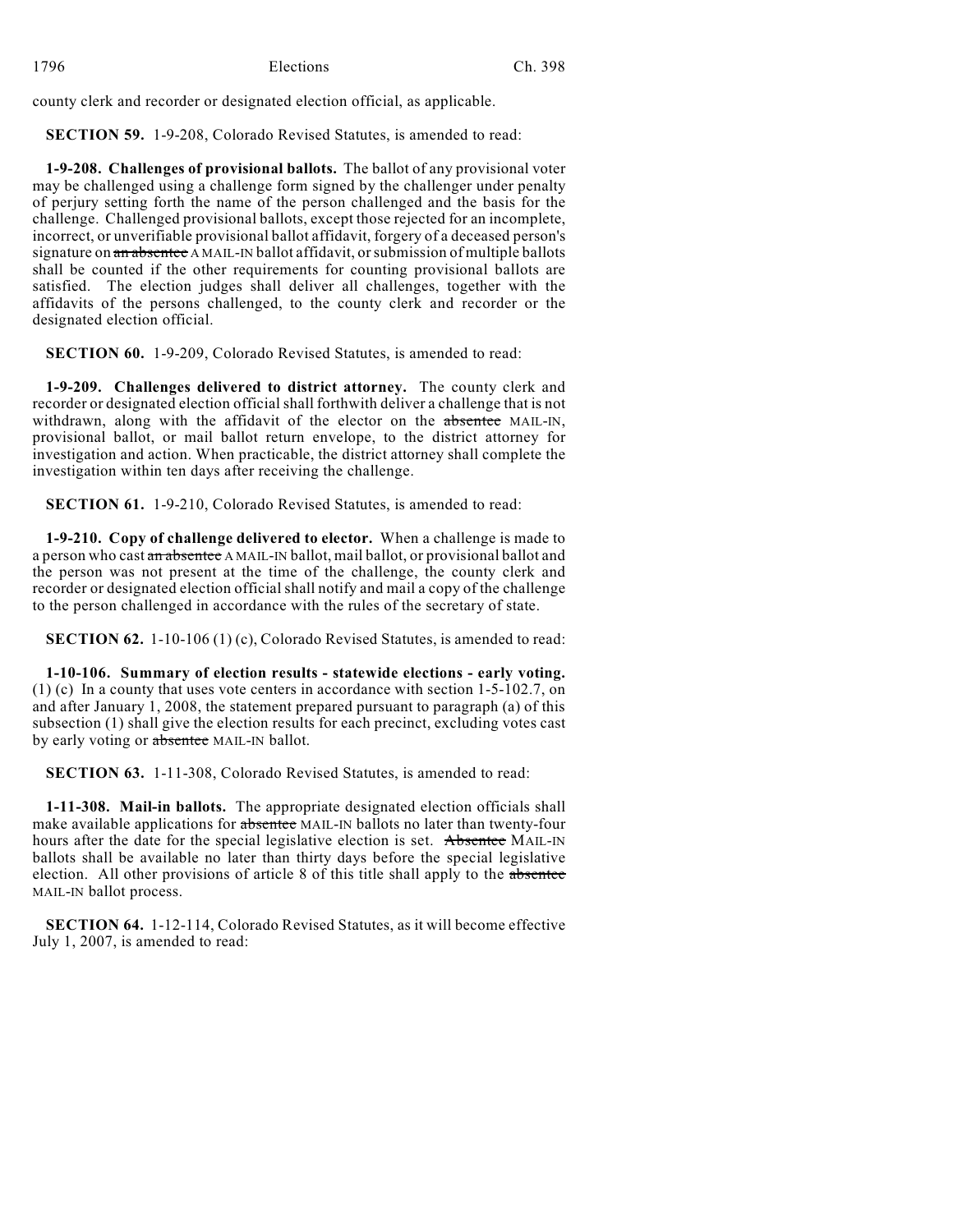county clerk and recorder or designated election official, as applicable.

**SECTION 59.** 1-9-208, Colorado Revised Statutes, is amended to read:

**1-9-208. Challenges of provisional ballots.** The ballot of any provisional voter may be challenged using a challenge form signed by the challenger under penalty of perjury setting forth the name of the person challenged and the basis for the challenge. Challenged provisional ballots, except those rejected for an incomplete, incorrect, or unverifiable provisional ballot affidavit, forgery of a deceased person's signature on an absentee A MAIL-IN ballot affidavit, or submission of multiple ballots shall be counted if the other requirements for counting provisional ballots are satisfied. The election judges shall deliver all challenges, together with the affidavits of the persons challenged, to the county clerk and recorder or the designated election official.

**SECTION 60.** 1-9-209, Colorado Revised Statutes, is amended to read:

**1-9-209. Challenges delivered to district attorney.** The county clerk and recorder or designated election official shall forthwith deliver a challenge that is not withdrawn, along with the affidavit of the elector on the absentee MAIL-IN, provisional ballot, or mail ballot return envelope, to the district attorney for investigation and action. When practicable, the district attorney shall complete the investigation within ten days after receiving the challenge.

**SECTION 61.** 1-9-210, Colorado Revised Statutes, is amended to read:

**1-9-210. Copy of challenge delivered to elector.** When a challenge is made to a person who cast an absentee A MAIL-IN ballot, mail ballot, or provisional ballot and the person was not present at the time of the challenge, the county clerk and recorder or designated election official shall notify and mail a copy of the challenge to the person challenged in accordance with the rules of the secretary of state.

**SECTION 62.** 1-10-106 (1) (c), Colorado Revised Statutes, is amended to read:

**1-10-106. Summary of election results - statewide elections - early voting.** (1) (c) In a county that uses vote centers in accordance with section 1-5-102.7, on and after January 1, 2008, the statement prepared pursuant to paragraph (a) of this subsection (1) shall give the election results for each precinct, excluding votes cast by early voting or absentee MAIL-IN ballot.

**SECTION 63.** 1-11-308, Colorado Revised Statutes, is amended to read:

**1-11-308. Mail-in ballots.** The appropriate designated election officials shall make available applications for absentee MAIL-IN ballots no later than twenty-four hours after the date for the special legislative election is set. Absentee MAIL-IN ballots shall be available no later than thirty days before the special legislative election. All other provisions of article 8 of this title shall apply to the absentee MAIL-IN ballot process.

**SECTION 64.** 1-12-114, Colorado Revised Statutes, as it will become effective July 1, 2007, is amended to read: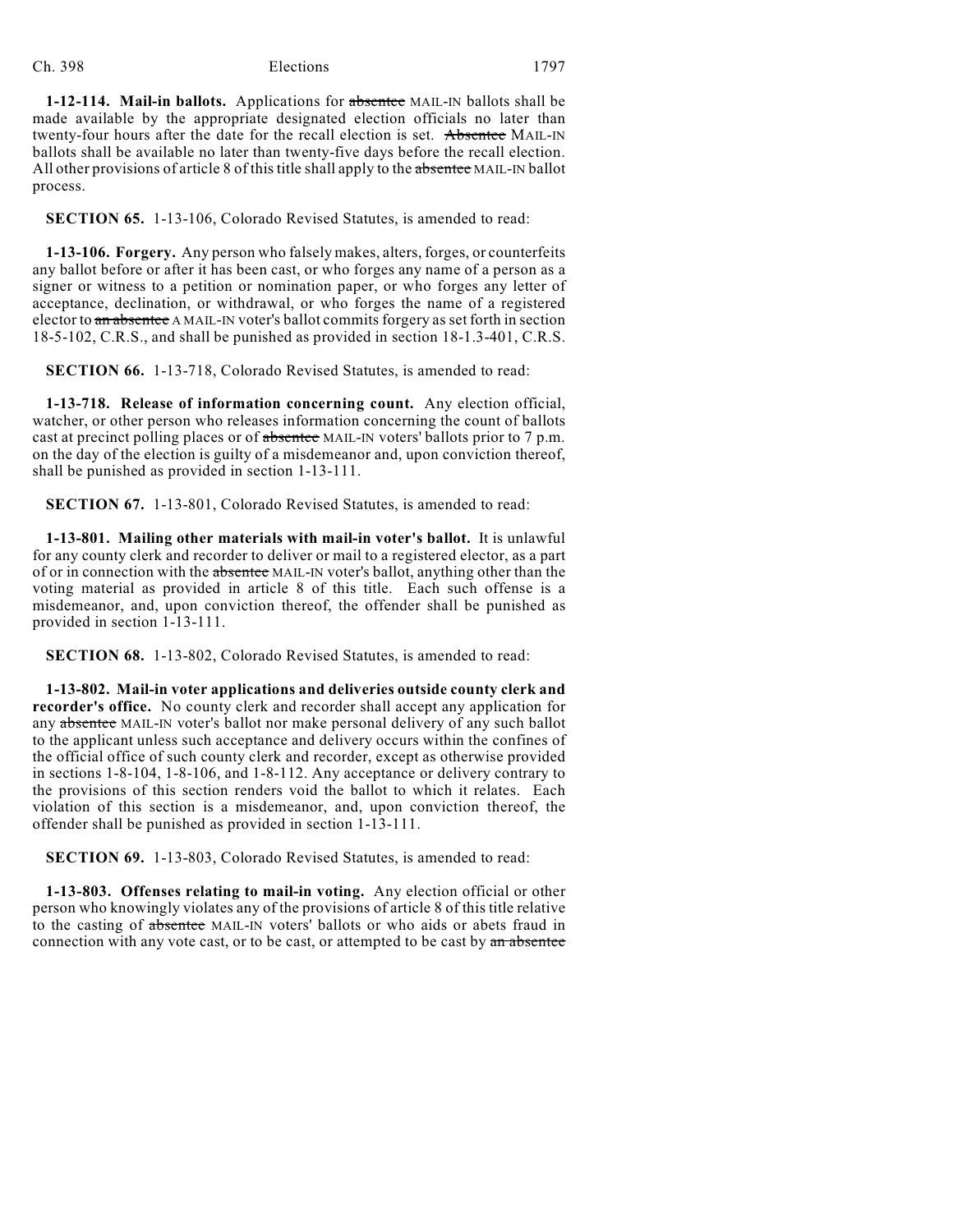**1-12-114. Mail-in ballots.** Applications for absentee MAIL-IN ballots shall be made available by the appropriate designated election officials no later than twenty-four hours after the date for the recall election is set. Absentee MAIL-IN ballots shall be available no later than twenty-five days before the recall election. All other provisions of article 8 of this title shall apply to the absentee MAIL-IN ballot process.

**SECTION 65.** 1-13-106, Colorado Revised Statutes, is amended to read:

**1-13-106. Forgery.** Any person who falsely makes, alters, forges, or counterfeits any ballot before or after it has been cast, or who forges any name of a person as a signer or witness to a petition or nomination paper, or who forges any letter of acceptance, declination, or withdrawal, or who forges the name of a registered elector to an absentee A MAIL-IN voter's ballot commits forgery as set forth in section 18-5-102, C.R.S., and shall be punished as provided in section 18-1.3-401, C.R.S.

**SECTION 66.** 1-13-718, Colorado Revised Statutes, is amended to read:

**1-13-718. Release of information concerning count.** Any election official, watcher, or other person who releases information concerning the count of ballots cast at precinct polling places or of absentee MAIL-IN voters' ballots prior to 7 p.m. on the day of the election is guilty of a misdemeanor and, upon conviction thereof, shall be punished as provided in section 1-13-111.

**SECTION 67.** 1-13-801, Colorado Revised Statutes, is amended to read:

**1-13-801. Mailing other materials with mail-in voter's ballot.** It is unlawful for any county clerk and recorder to deliver or mail to a registered elector, as a part of or in connection with the absentee MAIL-IN voter's ballot, anything other than the voting material as provided in article 8 of this title. Each such offense is a misdemeanor, and, upon conviction thereof, the offender shall be punished as provided in section 1-13-111.

**SECTION 68.** 1-13-802, Colorado Revised Statutes, is amended to read:

**1-13-802. Mail-in voter applications and deliveries outside county clerk and recorder's office.** No county clerk and recorder shall accept any application for any absentee MAIL-IN voter's ballot nor make personal delivery of any such ballot to the applicant unless such acceptance and delivery occurs within the confines of the official office of such county clerk and recorder, except as otherwise provided in sections 1-8-104, 1-8-106, and 1-8-112. Any acceptance or delivery contrary to the provisions of this section renders void the ballot to which it relates. Each violation of this section is a misdemeanor, and, upon conviction thereof, the offender shall be punished as provided in section 1-13-111.

**SECTION 69.** 1-13-803, Colorado Revised Statutes, is amended to read:

**1-13-803. Offenses relating to mail-in voting.** Any election official or other person who knowingly violates any of the provisions of article 8 of this title relative to the casting of absentee MAIL-IN voters' ballots or who aids or abets fraud in connection with any vote cast, or to be cast, or attempted to be cast by an absentee